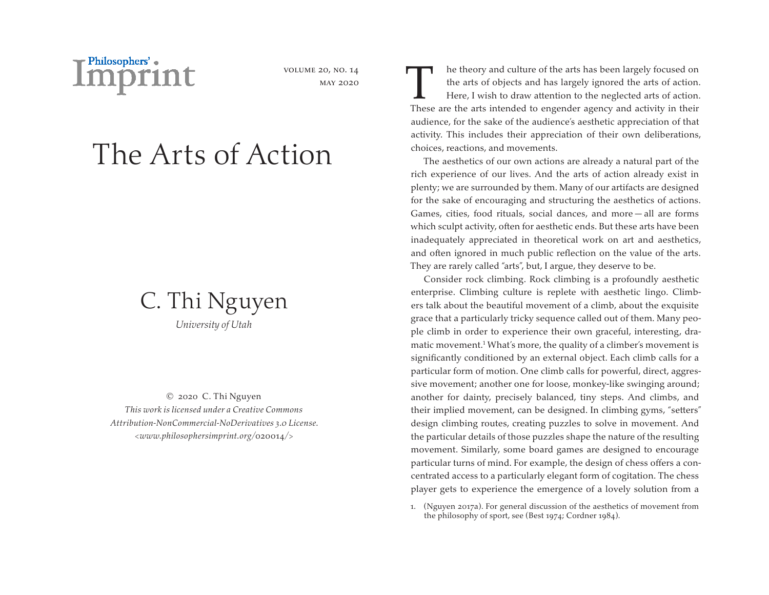

volume 20, no. 14 may 2020

# The Arts of Action



© 2020 C. Thi Nguyen *This work is licensed under a Creative Commons Attribution-NonCommercial-NoDerivatives 3.0 License. <www.philosophersimprint.org/*020014*/>*

T he theory and culture of the arts has been largely focused on<br>the arts of objects and has largely ignored the arts of action<br>Here, I wish to draw attention to the neglected arts of action<br>These are the arts intended to e the arts of objects and has largely ignored the arts of action. Here, I wish to draw attention to the neglected arts of action. These are the arts intended to engender agency and activity in their audience, for the sake of the audience's aesthetic appreciation of that activity. This includes their appreciation of their own deliberations, choices, reactions, and movements.

The aesthetics of our own actions are already a natural part of the rich experience of our lives. And the arts of action already exist in plenty; we are surrounded by them. Many of our artifacts are designed for the sake of encouraging and structuring the aesthetics of actions. Games, cities, food rituals, social dances, and more — all are forms which sculpt activity, often for aesthetic ends. But these arts have been inadequately appreciated in theoretical work on art and aesthetics, and often ignored in much public reflection on the value of the arts. They are rarely called "arts", but, I argue, they deserve to be.

Consider rock climbing. Rock climbing is a profoundly aesthetic enterprise. Climbing culture is replete with aesthetic lingo. Climbers talk about the beautiful movement of a climb, about the exquisite grace that a particularly tricky sequence called out of them. Many people climb in order to experience their own graceful, interesting, dramatic movement.<sup>1</sup> What's more, the quality of a climber's movement is significantly conditioned by an external object. Each climb calls for a particular form of motion. One climb calls for powerful, direct, aggressive movement; another one for loose, monkey-like swinging around; another for dainty, precisely balanced, tiny steps. And climbs, and their implied movement, can be designed. In climbing gyms, "setters" design climbing routes, creating puzzles to solve in movement. And the particular details of those puzzles shape the nature of the resulting movement. Similarly, some board games are designed to encourage particular turns of mind. For example, the design of chess offers a concentrated access to a particularly elegant form of cogitation. The chess player gets to experience the emergence of a lovely solution from a

1. (Nguyen 2017a). For general discussion of the aesthetics of movement from the philosophy of sport, see (Best 1974; Cordner 1984).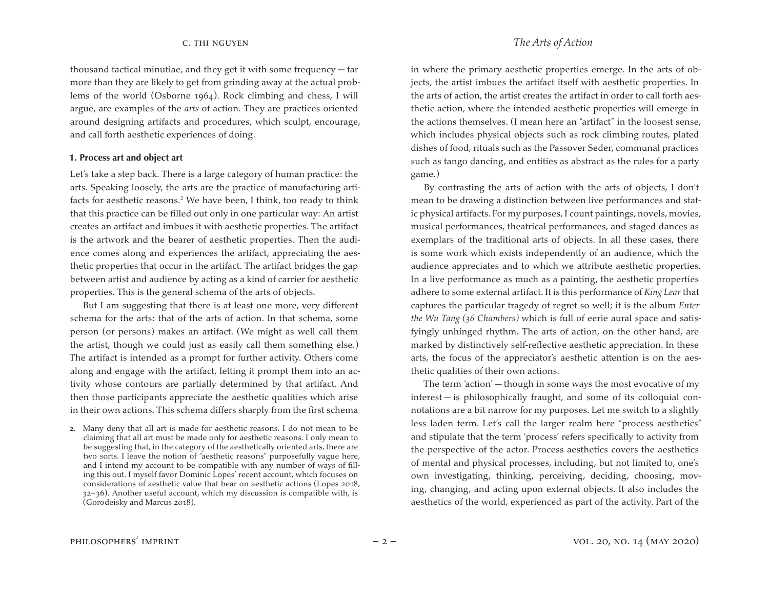thousand tactical minutiae, and they get it with some frequency — far more than they are likely to get from grinding away at the actual problems of the world (Osborne 1964). Rock climbing and chess, I will argue, are examples of the *arts* of action. They are practices oriented around designing artifacts and procedures, which sculpt, encourage, and call forth aesthetic experiences of doing.

### **1. Process art and object art**

Let's take a step back. There is a large category of human practice: the arts. Speaking loosely, the arts are the practice of manufacturing artifacts for aesthetic reasons.<sup>2</sup> We have been, I think, too ready to think that this practice can be filled out only in one particular way: An artist creates an artifact and imbues it with aesthetic properties. The artifact is the artwork and the bearer of aesthetic properties. Then the audience comes along and experiences the artifact, appreciating the aesthetic properties that occur in the artifact. The artifact bridges the gap between artist and audience by acting as a kind of carrier for aesthetic properties. This is the general schema of the arts of objects.

But I am suggesting that there is at least one more, very different schema for the arts: that of the arts of action. In that schema, some person (or persons) makes an artifact. (We might as well call them the artist, though we could just as easily call them something else.) The artifact is intended as a prompt for further activity. Others come along and engage with the artifact, letting it prompt them into an activity whose contours are partially determined by that artifact. And then those participants appreciate the aesthetic qualities which arise in their own actions. This schema differs sharply from the first schema

2. Many deny that all art is made for aesthetic reasons. I do not mean to be claiming that all art must be made only for aesthetic reasons. I only mean to be suggesting that, in the category of the aesthetically oriented arts, there are two sorts. I leave the notion of "aesthetic reasons" purposefully vague here, and I intend my account to be compatible with any number of ways of filling this out. I myself favor Dominic Lopes' recent account, which focuses on considerations of aesthetic value that bear on aesthetic actions (Lopes 2018, 32–36). Another useful account, which my discussion is compatible with, is (Gorodeisky and Marcus 2018).

in where the primary aesthetic properties emerge. In the arts of objects, the artist imbues the artifact itself with aesthetic properties. In the arts of action, the artist creates the artifact in order to call forth aesthetic action, where the intended aesthetic properties will emerge in the actions themselves. (I mean here an "artifact" in the loosest sense, which includes physical objects such as rock climbing routes, plated dishes of food, rituals such as the Passover Seder, communal practices such as tango dancing, and entities as abstract as the rules for a party game.)

By contrasting the arts of action with the arts of objects, I don't mean to be drawing a distinction between live performances and static physical artifacts. For my purposes, I count paintings, novels, movies, musical performances, theatrical performances, and staged dances as exemplars of the traditional arts of objects. In all these cases, there is some work which exists independently of an audience, which the audience appreciates and to which we attribute aesthetic properties. In a live performance as much as a painting, the aesthetic properties adhere to some external artifact. It is this performance of *King Lear* that captures the particular tragedy of regret so well; it is the album *Enter the Wu Tang (36 Chambers)* which is full of eerie aural space and satisfyingly unhinged rhythm. The arts of action, on the other hand, are marked by distinctively self-reflective aesthetic appreciation. In these arts, the focus of the appreciator's aesthetic attention is on the aesthetic qualities of their own actions.

The term 'action' — though in some ways the most evocative of my interest — is philosophically fraught, and some of its colloquial connotations are a bit narrow for my purposes. Let me switch to a slightly less laden term. Let's call the larger realm here "process aesthetics" and stipulate that the term 'process' refers specifically to activity from the perspective of the actor. Process aesthetics covers the aesthetics of mental and physical processes, including, but not limited to, one's own investigating, thinking, perceiving, deciding, choosing, moving, changing, and acting upon external objects. It also includes the aesthetics of the world, experienced as part of the activity. Part of the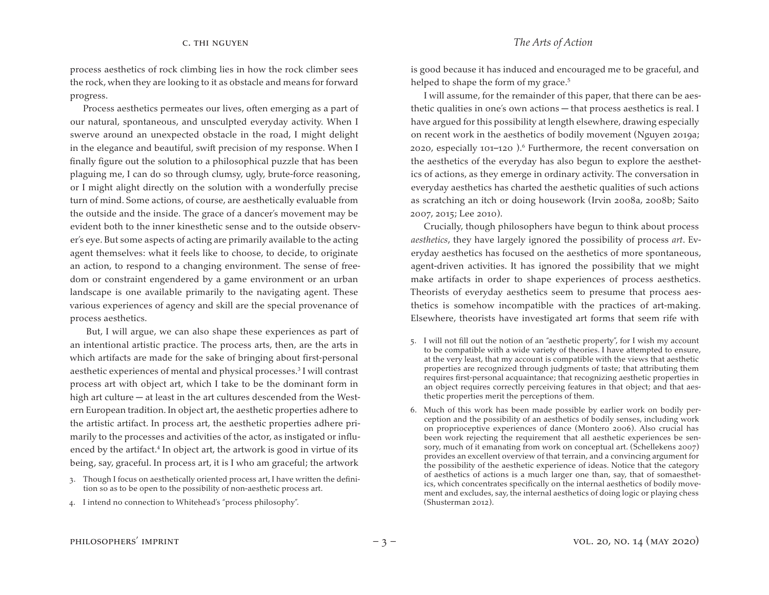process aesthetics of rock climbing lies in how the rock climber sees the rock, when they are looking to it as obstacle and means for forward progress.

Process aesthetics permeates our lives, often emerging as a part of our natural, spontaneous, and unsculpted everyday activity. When I swerve around an unexpected obstacle in the road, I might delight in the elegance and beautiful, swift precision of my response. When I finally figure out the solution to a philosophical puzzle that has been plaguing me, I can do so through clumsy, ugly, brute-force reasoning, or I might alight directly on the solution with a wonderfully precise turn of mind. Some actions, of course, are aesthetically evaluable from the outside and the inside. The grace of a dancer's movement may be evident both to the inner kinesthetic sense and to the outside observer's eye. But some aspects of acting are primarily available to the acting agent themselves: what it feels like to choose, to decide, to originate an action, to respond to a changing environment. The sense of freedom or constraint engendered by a game environment or an urban landscape is one available primarily to the navigating agent. These various experiences of agency and skill are the special provenance of process aesthetics.

But, I will argue, we can also shape these experiences as part of an intentional artistic practice. The process arts, then, are the arts in which artifacts are made for the sake of bringing about first-personal aesthetic experiences of mental and physical processes.3 I will contrast process art with object art, which I take to be the dominant form in high art culture — at least in the art cultures descended from the Western European tradition. In object art, the aesthetic properties adhere to the artistic artifact. In process art, the aesthetic properties adhere primarily to the processes and activities of the actor, as instigated or influenced by the artifact.<sup>4</sup> In object art, the artwork is good in virtue of its being, say, graceful. In process art, it is I who am graceful; the artwork

4. I intend no connection to Whitehead's "process philosophy".

is good because it has induced and encouraged me to be graceful, and helped to shape the form of my grace.<sup>5</sup>

I will assume, for the remainder of this paper, that there can be aesthetic qualities in one's own actions — that process aesthetics is real. I have argued for this possibility at length elsewhere, drawing especially on recent work in the aesthetics of bodily movement (Nguyen 2019a; 2020, especially 101–120).<sup>6</sup> Furthermore, the recent conversation on the aesthetics of the everyday has also begun to explore the aesthetics of actions, as they emerge in ordinary activity. The conversation in everyday aesthetics has charted the aesthetic qualities of such actions as scratching an itch or doing housework (Irvin 2008a, 2008b; Saito 2007, 2015; Lee 2010).

Crucially, though philosophers have begun to think about process *aesthetics*, they have largely ignored the possibility of process *art*. Everyday aesthetics has focused on the aesthetics of more spontaneous, agent-driven activities. It has ignored the possibility that we might make artifacts in order to shape experiences of process aesthetics. Theorists of everyday aesthetics seem to presume that process aesthetics is somehow incompatible with the practices of art-making. Elsewhere, theorists have investigated art forms that seem rife with

- 5. I will not fill out the notion of an "aesthetic property", for I wish my account to be compatible with a wide variety of theories. I have attempted to ensure, at the very least, that my account is compatible with the views that aesthetic properties are recognized through judgments of taste; that attributing them requires first-personal acquaintance; that recognizing aesthetic properties in an object requires correctly perceiving features in that object; and that aesthetic properties merit the perceptions of them.
- 6. Much of this work has been made possible by earlier work on bodily perception and the possibility of an aesthetics of bodily senses, including work on proprioceptive experiences of dance (Montero 2006). Also crucial has been work rejecting the requirement that all aesthetic experiences be sensory, much of it emanating from work on conceptual art. (Schellekens 2007) provides an excellent overview of that terrain, and a convincing argument for the possibility of the aesthetic experience of ideas. Notice that the category of aesthetics of actions is a much larger one than, say, that of somaesthetics, which concentrates specifically on the internal aesthetics of bodily movement and excludes, say, the internal aesthetics of doing logic or playing chess (Shusterman 2012).

<sup>3.</sup> Though I focus on aesthetically oriented process art, I have written the definition so as to be open to the possibility of non-aesthetic process art.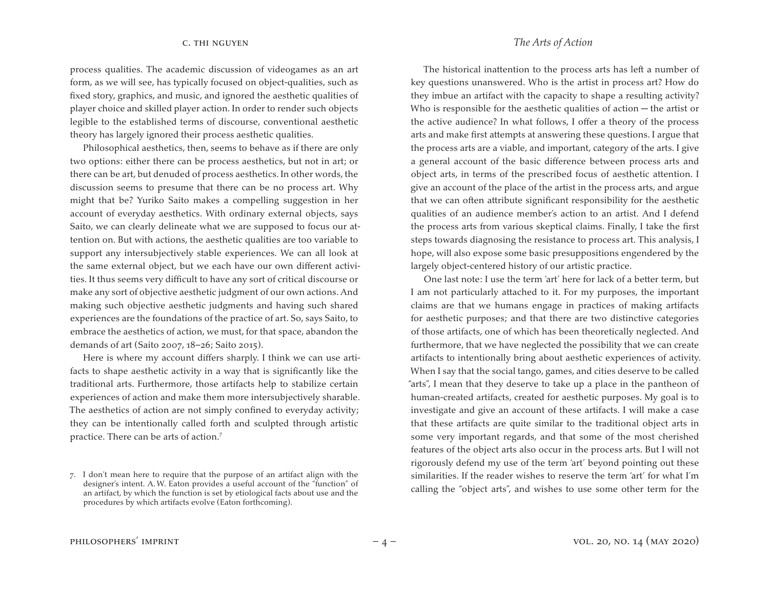process qualities. The academic discussion of videogames as an art form, as we will see, has typically focused on object-qualities, such as fixed story, graphics, and music, and ignored the aesthetic qualities of player choice and skilled player action. In order to render such objects legible to the established terms of discourse, conventional aesthetic theory has largely ignored their process aesthetic qualities.

Philosophical aesthetics, then, seems to behave as if there are only two options: either there can be process aesthetics, but not in art; or there can be art, but denuded of process aesthetics. In other words, the discussion seems to presume that there can be no process art. Why might that be? Yuriko Saito makes a compelling suggestion in her account of everyday aesthetics. With ordinary external objects, says Saito, we can clearly delineate what we are supposed to focus our attention on. But with actions, the aesthetic qualities are too variable to support any intersubjectively stable experiences. We can all look at the same external object, but we each have our own different activities. It thus seems very difficult to have any sort of critical discourse or make any sort of objective aesthetic judgment of our own actions. And making such objective aesthetic judgments and having such shared experiences are the foundations of the practice of art. So, says Saito, to embrace the aesthetics of action, we must, for that space, abandon the demands of art (Saito 2007, 18–26; Saito 2015).

Here is where my account differs sharply. I think we can use artifacts to shape aesthetic activity in a way that is significantly like the traditional arts. Furthermore, those artifacts help to stabilize certain experiences of action and make them more intersubjectively sharable. The aesthetics of action are not simply confined to everyday activity; they can be intentionally called forth and sculpted through artistic practice. There can be arts of action.7

# c. thi nguyen *The Arts of Action*

The historical inattention to the process arts has left a number of key questions unanswered. Who is the artist in process art? How do they imbue an artifact with the capacity to shape a resulting activity? Who is responsible for the aesthetic qualities of action — the artist or the active audience? In what follows, I offer a theory of the process arts and make first attempts at answering these questions. I argue that the process arts are a viable, and important, category of the arts. I give a general account of the basic difference between process arts and object arts, in terms of the prescribed focus of aesthetic attention. I give an account of the place of the artist in the process arts, and argue that we can often attribute significant responsibility for the aesthetic qualities of an audience member's action to an artist. And I defend the process arts from various skeptical claims. Finally, I take the first steps towards diagnosing the resistance to process art. This analysis, I hope, will also expose some basic presuppositions engendered by the largely object-centered history of our artistic practice.

One last note: I use the term 'art' here for lack of a better term, but I am not particularly attached to it. For my purposes, the important claims are that we humans engage in practices of making artifacts for aesthetic purposes; and that there are two distinctive categories of those artifacts, one of which has been theoretically neglected. And furthermore, that we have neglected the possibility that we can create artifacts to intentionally bring about aesthetic experiences of activity. When I say that the social tango, games, and cities deserve to be called "arts", I mean that they deserve to take up a place in the pantheon of human-created artifacts, created for aesthetic purposes. My goal is to investigate and give an account of these artifacts. I will make a case that these artifacts are quite similar to the traditional object arts in some very important regards, and that some of the most cherished features of the object arts also occur in the process arts. But I will not rigorously defend my use of the term 'art' beyond pointing out these similarities. If the reader wishes to reserve the term 'art' for what I'm calling the "object arts", and wishes to use some other term for the

<sup>7.</sup> I don't mean here to require that the purpose of an artifact align with the designer's intent. A.W. Eaton provides a useful account of the "function" of an artifact, by which the function is set by etiological facts about use and the procedures by which artifacts evolve (Eaton forthcoming).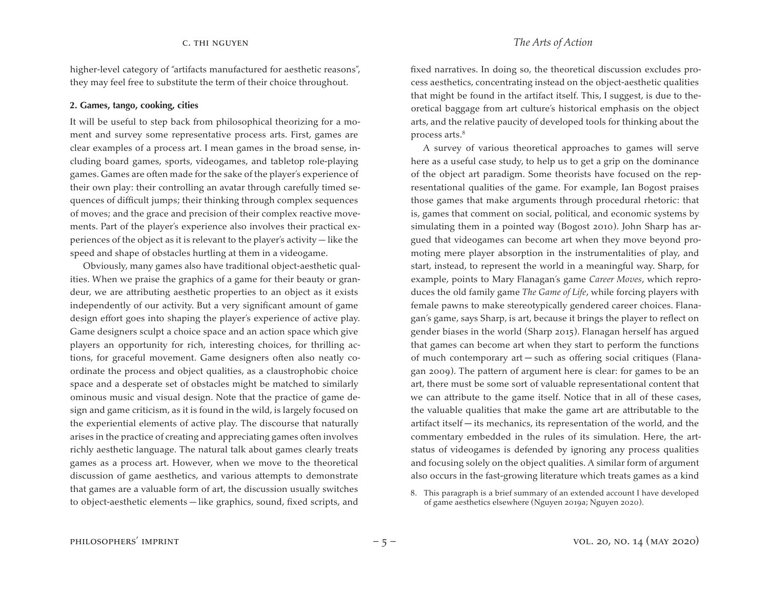higher-level category of "artifacts manufactured for aesthetic reasons", they may feel free to substitute the term of their choice throughout.

### **2. Games, tango, cooking, cities**

It will be useful to step back from philosophical theorizing for a moment and survey some representative process arts. First, games are clear examples of a process art. I mean games in the broad sense, including board games, sports, videogames, and tabletop role-playing games. Games are often made for the sake of the player's experience of their own play: their controlling an avatar through carefully timed sequences of difficult jumps; their thinking through complex sequences of moves; and the grace and precision of their complex reactive movements. Part of the player's experience also involves their practical experiences of the object as it is relevant to the player's activity — like the speed and shape of obstacles hurtling at them in a videogame.

Obviously, many games also have traditional object-aesthetic qualities. When we praise the graphics of a game for their beauty or grandeur, we are attributing aesthetic properties to an object as it exists independently of our activity. But a very significant amount of game design effort goes into shaping the player's experience of active play. Game designers sculpt a choice space and an action space which give players an opportunity for rich, interesting choices, for thrilling actions, for graceful movement. Game designers often also neatly coordinate the process and object qualities, as a claustrophobic choice space and a desperate set of obstacles might be matched to similarly ominous music and visual design. Note that the practice of game design and game criticism, as it is found in the wild, is largely focused on the experiential elements of active play. The discourse that naturally arises in the practice of creating and appreciating games often involves richly aesthetic language. The natural talk about games clearly treats games as a process art. However, when we move to the theoretical discussion of game aesthetics, and various attempts to demonstrate that games are a valuable form of art, the discussion usually switches to object-aesthetic elements — like graphics, sound, fixed scripts, and

fixed narratives. In doing so, the theoretical discussion excludes process aesthetics, concentrating instead on the object-aesthetic qualities that might be found in the artifact itself. This, I suggest, is due to theoretical baggage from art culture's historical emphasis on the object arts, and the relative paucity of developed tools for thinking about the process arts.<sup>8</sup>

A survey of various theoretical approaches to games will serve here as a useful case study, to help us to get a grip on the dominance of the object art paradigm. Some theorists have focused on the representational qualities of the game. For example, Ian Bogost praises those games that make arguments through procedural rhetoric: that is, games that comment on social, political, and economic systems by simulating them in a pointed way (Bogost 2010). John Sharp has argued that videogames can become art when they move beyond promoting mere player absorption in the instrumentalities of play, and start, instead, to represent the world in a meaningful way. Sharp, for example, points to Mary Flanagan's game *Career Moves*, which reproduces the old family game *The Game of Life*, while forcing players with female pawns to make stereotypically gendered career choices. Flanagan's game, says Sharp, is art, because it brings the player to reflect on gender biases in the world (Sharp 2015). Flanagan herself has argued that games can become art when they start to perform the functions of much contemporary art — such as offering social critiques (Flanagan 2009). The pattern of argument here is clear: for games to be an art, there must be some sort of valuable representational content that we can attribute to the game itself. Notice that in all of these cases, the valuable qualities that make the game art are attributable to the artifact itself — its mechanics, its representation of the world, and the commentary embedded in the rules of its simulation. Here, the artstatus of videogames is defended by ignoring any process qualities and focusing solely on the object qualities. A similar form of argument also occurs in the fast-growing literature which treats games as a kind

<sup>8.</sup> This paragraph is a brief summary of an extended account I have developed of game aesthetics elsewhere (Nguyen 2019a; Nguyen 2020).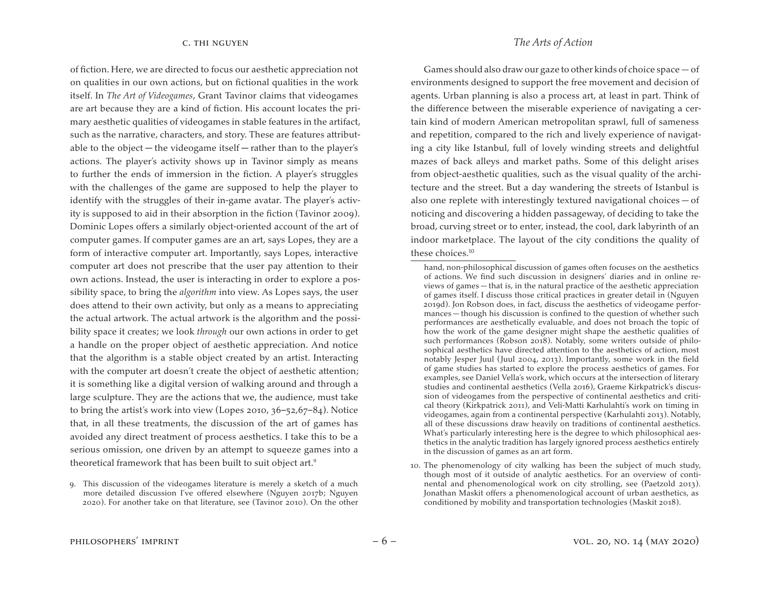of fiction. Here, we are directed to focus our aesthetic appreciation not on qualities in our own actions, but on fictional qualities in the work itself. In *The Art of Videogames*, Grant Tavinor claims that videogames are art because they are a kind of fiction. His account locates the primary aesthetic qualities of videogames in stable features in the artifact, such as the narrative, characters, and story. These are features attributable to the object — the videogame itself — rather than to the player's actions. The player's activity shows up in Tavinor simply as means to further the ends of immersion in the fiction. A player's struggles with the challenges of the game are supposed to help the player to identify with the struggles of their in-game avatar. The player's activity is supposed to aid in their absorption in the fiction (Tavinor 2009). Dominic Lopes offers a similarly object-oriented account of the art of computer games. If computer games are an art, says Lopes, they are a form of interactive computer art. Importantly, says Lopes, interactive computer art does not prescribe that the user pay attention to their own actions. Instead, the user is interacting in order to explore a possibility space, to bring the *algorithm* into view. As Lopes says, the user does attend to their own activity, but only as a means to appreciating the actual artwork. The actual artwork is the algorithm and the possibility space it creates; we look *through* our own actions in order to get a handle on the proper object of aesthetic appreciation. And notice that the algorithm is a stable object created by an artist. Interacting with the computer art doesn't create the object of aesthetic attention; it is something like a digital version of walking around and through a large sculpture. They are the actions that we, the audience, must take to bring the artist's work into view (Lopes 2010, 36–52,67–84). Notice that, in all these treatments, the discussion of the art of games has avoided any direct treatment of process aesthetics. I take this to be a serious omission, one driven by an attempt to squeeze games into a theoretical framework that has been built to suit object art.9

Games should also draw our gaze to other kinds of choice space — of environments designed to support the free movement and decision of agents. Urban planning is also a process art, at least in part. Think of the difference between the miserable experience of navigating a certain kind of modern American metropolitan sprawl, full of sameness and repetition, compared to the rich and lively experience of navigating a city like Istanbul, full of lovely winding streets and delightful mazes of back alleys and market paths. Some of this delight arises from object-aesthetic qualities, such as the visual quality of the architecture and the street. But a day wandering the streets of Istanbul is also one replete with interestingly textured navigational choices — of noticing and discovering a hidden passageway, of deciding to take the broad, curving street or to enter, instead, the cool, dark labyrinth of an indoor marketplace. The layout of the city conditions the quality of these choices.<sup>10</sup>

<sup>9.</sup> This discussion of the videogames literature is merely a sketch of a much more detailed discussion I've offered elsewhere (Nguyen 2017b; Nguyen 2020). For another take on that literature, see (Tavinor 2010). On the other

hand, non-philosophical discussion of games often focuses on the aesthetics of actions. We find such discussion in designers' diaries and in online reviews of games — that is, in the natural practice of the aesthetic appreciation of games itself. I discuss those critical practices in greater detail in (Nguyen 2019d). Jon Robson does, in fact, discuss the aesthetics of videogame performances — though his discussion is confined to the question of whether such performances are aesthetically evaluable, and does not broach the topic of how the work of the game designer might shape the aesthetic qualities of such performances (Robson 2018). Notably, some writers outside of philosophical aesthetics have directed attention to the aesthetics of action, most notably Jesper Juul (Juul 2004, 2013). Importantly, some work in the field of game studies has started to explore the process aesthetics of games. For examples, see Daniel Vella's work, which occurs at the intersection of literary studies and continental aesthetics (Vella 2016), Graeme Kirkpatrick's discussion of videogames from the perspective of continental aesthetics and critical theory (Kirkpatrick 2011), and Veli-Matti Karhulahti's work on timing in videogames, again from a continental perspective (Karhulahti 2013). Notably, all of these discussions draw heavily on traditions of continental aesthetics. What's particularly interesting here is the degree to which philosophical aesthetics in the analytic tradition has largely ignored process aesthetics entirely in the discussion of games as an art form.

<sup>10.</sup> The phenomenology of city walking has been the subject of much study, though most of it outside of analytic aesthetics. For an overview of continental and phenomenological work on city strolling, see (Paetzold 2013). Jonathan Maskit offers a phenomenological account of urban aesthetics, as conditioned by mobility and transportation technologies (Maskit 2018).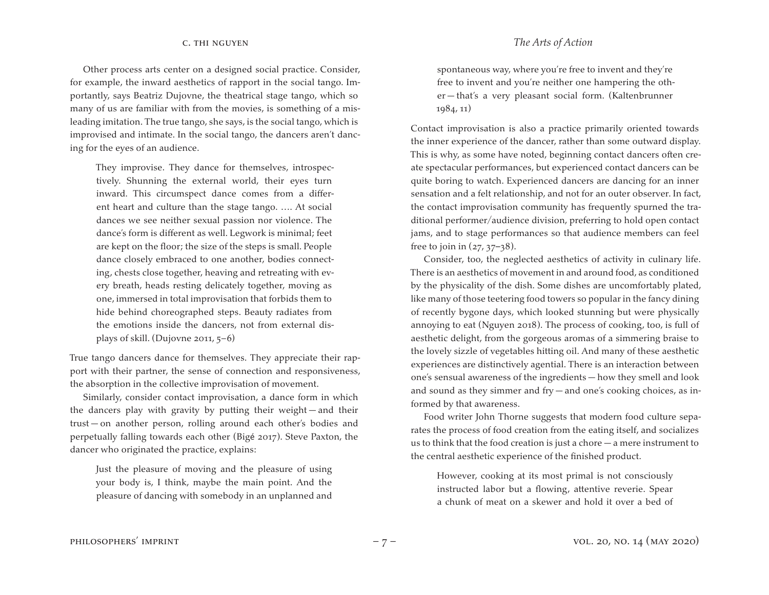Other process arts center on a designed social practice. Consider, for example, the inward aesthetics of rapport in the social tango. Importantly, says Beatriz Dujovne, the theatrical stage tango, which so many of us are familiar with from the movies, is something of a misleading imitation. The true tango, she says, is the social tango, which is improvised and intimate. In the social tango, the dancers aren't dancing for the eyes of an audience.

They improvise. They dance for themselves, introspectively. Shunning the external world, their eyes turn inward. This circumspect dance comes from a different heart and culture than the stage tango. …. At social dances we see neither sexual passion nor violence. The dance's form is different as well. Legwork is minimal; feet are kept on the floor; the size of the steps is small. People dance closely embraced to one another, bodies connecting, chests close together, heaving and retreating with every breath, heads resting delicately together, moving as one, immersed in total improvisation that forbids them to hide behind choreographed steps. Beauty radiates from the emotions inside the dancers, not from external displays of skill. (Dujovne 2011, 5–6)

True tango dancers dance for themselves. They appreciate their rapport with their partner, the sense of connection and responsiveness, the absorption in the collective improvisation of movement.

Similarly, consider contact improvisation, a dance form in which the dancers play with gravity by putting their weight — and their trust — on another person, rolling around each other's bodies and perpetually falling towards each other (Bigé 2017). Steve Paxton, the dancer who originated the practice, explains:

Just the pleasure of moving and the pleasure of using your body is, I think, maybe the main point. And the pleasure of dancing with somebody in an unplanned and

spontaneous way, where you're free to invent and they're free to invent and you're neither one hampering the other — that's a very pleasant social form. (Kaltenbrunner 1984, 11)

Contact improvisation is also a practice primarily oriented towards the inner experience of the dancer, rather than some outward display. This is why, as some have noted, beginning contact dancers often create spectacular performances, but experienced contact dancers can be quite boring to watch. Experienced dancers are dancing for an inner sensation and a felt relationship, and not for an outer observer. In fact, the contact improvisation community has frequently spurned the traditional performer/audience division, preferring to hold open contact jams, and to stage performances so that audience members can feel free to join in  $(27, 37-38)$ .

Consider, too, the neglected aesthetics of activity in culinary life. There is an aesthetics of movement in and around food, as conditioned by the physicality of the dish. Some dishes are uncomfortably plated, like many of those teetering food towers so popular in the fancy dining of recently bygone days, which looked stunning but were physically annoying to eat (Nguyen 2018). The process of cooking, too, is full of aesthetic delight, from the gorgeous aromas of a simmering braise to the lovely sizzle of vegetables hitting oil. And many of these aesthetic experiences are distinctively agential. There is an interaction between one's sensual awareness of the ingredients — how they smell and look and sound as they simmer and fry — and one's cooking choices, as informed by that awareness.

Food writer John Thorne suggests that modern food culture separates the process of food creation from the eating itself, and socializes us to think that the food creation is just a chore — a mere instrument to the central aesthetic experience of the finished product.

However, cooking at its most primal is not consciously instructed labor but a flowing, attentive reverie. Spear a chunk of meat on a skewer and hold it over a bed of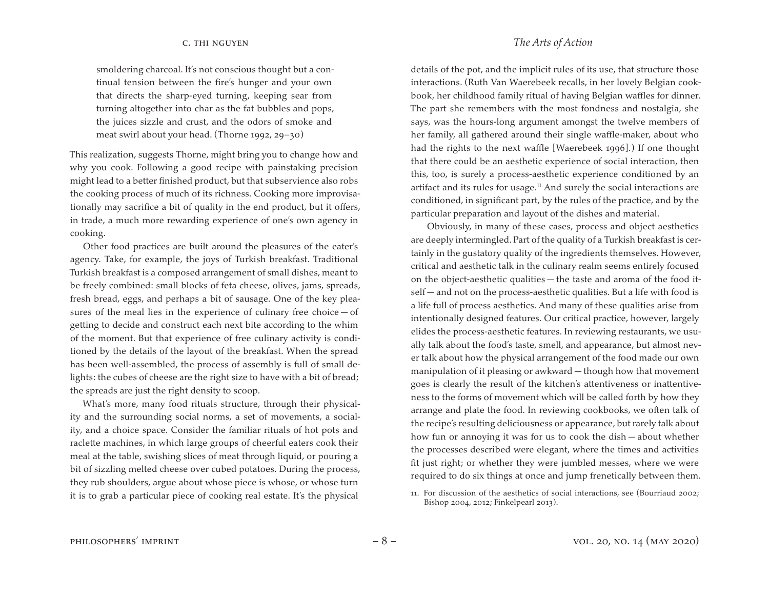smoldering charcoal. It's not conscious thought but a continual tension between the fire's hunger and your own that directs the sharp-eyed turning, keeping sear from turning altogether into char as the fat bubbles and pops, the juices sizzle and crust, and the odors of smoke and meat swirl about your head. (Thorne 1992, 29–30)

This realization, suggests Thorne, might bring you to change how and why you cook. Following a good recipe with painstaking precision might lead to a better finished product, but that subservience also robs the cooking process of much of its richness. Cooking more improvisationally may sacrifice a bit of quality in the end product, but it offers, in trade, a much more rewarding experience of one's own agency in cooking.

Other food practices are built around the pleasures of the eater's agency. Take, for example, the joys of Turkish breakfast. Traditional Turkish breakfast is a composed arrangement of small dishes, meant to be freely combined: small blocks of feta cheese, olives, jams, spreads, fresh bread, eggs, and perhaps a bit of sausage. One of the key pleasures of the meal lies in the experience of culinary free choice  $-$  of getting to decide and construct each next bite according to the whim of the moment. But that experience of free culinary activity is conditioned by the details of the layout of the breakfast. When the spread has been well-assembled, the process of assembly is full of small delights: the cubes of cheese are the right size to have with a bit of bread; the spreads are just the right density to scoop.

What's more, many food rituals structure, through their physicality and the surrounding social norms, a set of movements, a sociality, and a choice space. Consider the familiar rituals of hot pots and raclette machines, in which large groups of cheerful eaters cook their meal at the table, swishing slices of meat through liquid, or pouring a bit of sizzling melted cheese over cubed potatoes. During the process, they rub shoulders, argue about whose piece is whose, or whose turn it is to grab a particular piece of cooking real estate. It's the physical

details of the pot, and the implicit rules of its use, that structure those interactions. (Ruth Van Waerebeek recalls, in her lovely Belgian cookbook, her childhood family ritual of having Belgian waffles for dinner. The part she remembers with the most fondness and nostalgia, she says, was the hours-long argument amongst the twelve members of her family, all gathered around their single waffle-maker, about who had the rights to the next waffle [Waerebeek 1996].) If one thought that there could be an aesthetic experience of social interaction, then this, too, is surely a process-aesthetic experience conditioned by an artifact and its rules for usage. $11$  And surely the social interactions are conditioned, in significant part, by the rules of the practice, and by the particular preparation and layout of the dishes and material.

Obviously, in many of these cases, process and object aesthetics are deeply intermingled. Part of the quality of a Turkish breakfast is certainly in the gustatory quality of the ingredients themselves. However, critical and aesthetic talk in the culinary realm seems entirely focused on the object-aesthetic qualities — the taste and aroma of the food itself — and not on the process-aesthetic qualities. But a life with food is a life full of process aesthetics. And many of these qualities arise from intentionally designed features. Our critical practice, however, largely elides the process-aesthetic features. In reviewing restaurants, we usually talk about the food's taste, smell, and appearance, but almost never talk about how the physical arrangement of the food made our own manipulation of it pleasing or awkward — though how that movement goes is clearly the result of the kitchen's attentiveness or inattentiveness to the forms of movement which will be called forth by how they arrange and plate the food. In reviewing cookbooks, we often talk of the recipe's resulting deliciousness or appearance, but rarely talk about how fun or annoying it was for us to cook the dish — about whether the processes described were elegant, where the times and activities fit just right; or whether they were jumbled messes, where we were required to do six things at once and jump frenetically between them.

<sup>11.</sup> For discussion of the aesthetics of social interactions, see (Bourriaud 2002; Bishop 2004, 2012; Finkelpearl 2013).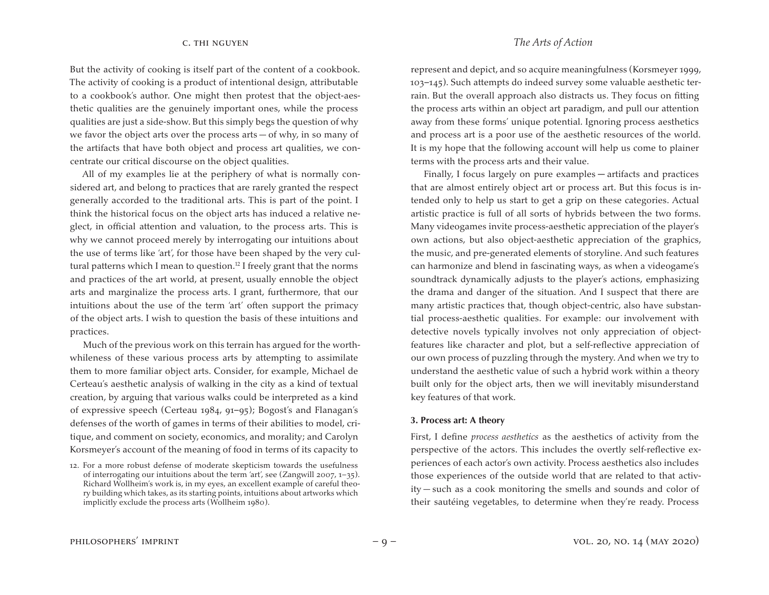But the activity of cooking is itself part of the content of a cookbook. The activity of cooking is a product of intentional design, attributable to a cookbook's author. One might then protest that the object-aesthetic qualities are the genuinely important ones, while the process qualities are just a side-show. But this simply begs the question of why we favor the object arts over the process arts  $-$  of why, in so many of the artifacts that have both object and process art qualities, we concentrate our critical discourse on the object qualities.

All of my examples lie at the periphery of what is normally considered art, and belong to practices that are rarely granted the respect generally accorded to the traditional arts. This is part of the point. I think the historical focus on the object arts has induced a relative neglect, in official attention and valuation, to the process arts. This is why we cannot proceed merely by interrogating our intuitions about the use of terms like 'art', for those have been shaped by the very cultural patterns which I mean to question.<sup>12</sup> I freely grant that the norms and practices of the art world, at present, usually ennoble the object arts and marginalize the process arts. I grant, furthermore, that our intuitions about the use of the term 'art' often support the primacy of the object arts. I wish to question the basis of these intuitions and practices.

Much of the previous work on this terrain has argued for the worthwhileness of these various process arts by attempting to assimilate them to more familiar object arts. Consider, for example, Michael de Certeau's aesthetic analysis of walking in the city as a kind of textual creation, by arguing that various walks could be interpreted as a kind of expressive speech (Certeau 1984, 91–95); Bogost's and Flanagan's defenses of the worth of games in terms of their abilities to model, critique, and comment on society, economics, and morality; and Carolyn Korsmeyer's account of the meaning of food in terms of its capacity to

represent and depict, and so acquire meaningfulness (Korsmeyer 1999, 103–145). Such attempts do indeed survey some valuable aesthetic terrain. But the overall approach also distracts us. They focus on fitting the process arts within an object art paradigm, and pull our attention away from these forms' unique potential. Ignoring process aesthetics and process art is a poor use of the aesthetic resources of the world. It is my hope that the following account will help us come to plainer terms with the process arts and their value.

Finally, I focus largely on pure examples — artifacts and practices that are almost entirely object art or process art. But this focus is intended only to help us start to get a grip on these categories. Actual artistic practice is full of all sorts of hybrids between the two forms. Many videogames invite process-aesthetic appreciation of the player's own actions, but also object-aesthetic appreciation of the graphics, the music, and pre-generated elements of storyline. And such features can harmonize and blend in fascinating ways, as when a videogame's soundtrack dynamically adjusts to the player's actions, emphasizing the drama and danger of the situation. And I suspect that there are many artistic practices that, though object-centric, also have substantial process-aesthetic qualities. For example: our involvement with detective novels typically involves not only appreciation of objectfeatures like character and plot, but a self-reflective appreciation of our own process of puzzling through the mystery. And when we try to understand the aesthetic value of such a hybrid work within a theory built only for the object arts, then we will inevitably misunderstand key features of that work.

### **3. Process art: A theory**

First, I define *process aesthetics* as the aesthetics of activity from the perspective of the actors. This includes the overtly self-reflective experiences of each actor's own activity. Process aesthetics also includes those experiences of the outside world that are related to that activity — such as a cook monitoring the smells and sounds and color of their sautéing vegetables, to determine when they're ready. Process

<sup>12.</sup> For a more robust defense of moderate skepticism towards the usefulness of interrogating our intuitions about the term 'art', see (Zangwill 2007, 1–35). Richard Wollheim's work is, in my eyes, an excellent example of careful theory building which takes, as its starting points, intuitions about artworks which implicitly exclude the process arts (Wollheim 1980).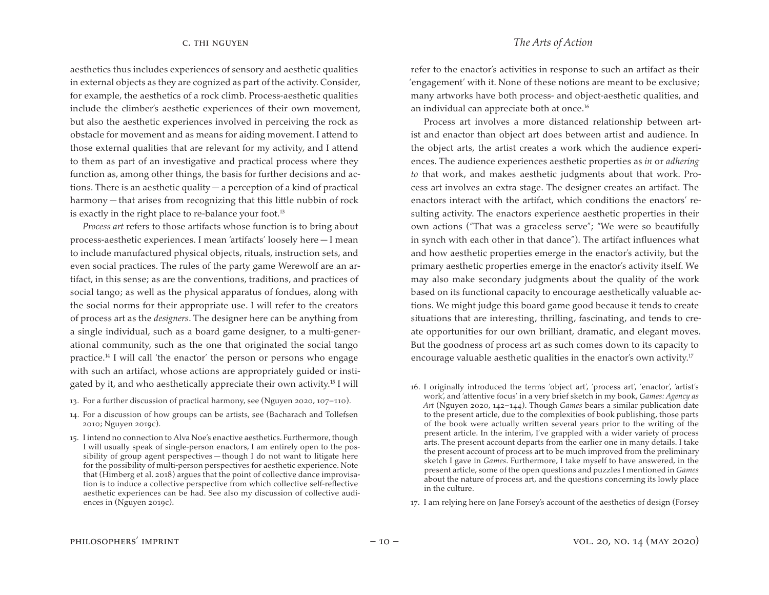aesthetics thus includes experiences of sensory and aesthetic qualities in external objects as they are cognized as part of the activity. Consider, for example, the aesthetics of a rock climb. Process-aesthetic qualities include the climber's aesthetic experiences of their own movement, but also the aesthetic experiences involved in perceiving the rock as obstacle for movement and as means for aiding movement. I attend to those external qualities that are relevant for my activity, and I attend to them as part of an investigative and practical process where they function as, among other things, the basis for further decisions and actions. There is an aesthetic quality — a perception of a kind of practical harmony — that arises from recognizing that this little nubbin of rock is exactly in the right place to re-balance your foot.<sup>13</sup>

*Process art* refers to those artifacts whose function is to bring about process-aesthetic experiences. I mean 'artifacts' loosely here — I mean to include manufactured physical objects, rituals, instruction sets, and even social practices. The rules of the party game Werewolf are an artifact, in this sense; as are the conventions, traditions, and practices of social tango; as well as the physical apparatus of fondues, along with the social norms for their appropriate use. I will refer to the creators of process art as the *designers*. The designer here can be anything from a single individual, such as a board game designer, to a multi-generational community, such as the one that originated the social tango practice.14 I will call 'the enactor' the person or persons who engage with such an artifact, whose actions are appropriately guided or instigated by it, and who aesthetically appreciate their own activity.15 I will

- 13. For a further discussion of practical harmony, see (Nguyen 2020, 107-110).
- 14. For a discussion of how groups can be artists, see (Bacharach and Tollefsen 2010; Nguyen 2019c).

refer to the enactor's activities in response to such an artifact as their 'engagement' with it. None of these notions are meant to be exclusive; many artworks have both process- and object-aesthetic qualities, and an individual can appreciate both at once.16

Process art involves a more distanced relationship between artist and enactor than object art does between artist and audience. In the object arts, the artist creates a work which the audience experiences. The audience experiences aesthetic properties as *in* or *adhering to* that work, and makes aesthetic judgments about that work. Process art involves an extra stage. The designer creates an artifact. The enactors interact with the artifact, which conditions the enactors' resulting activity. The enactors experience aesthetic properties in their own actions ("That was a graceless serve"; "We were so beautifully in synch with each other in that dance"). The artifact influences what and how aesthetic properties emerge in the enactor's activity, but the primary aesthetic properties emerge in the enactor's activity itself. We may also make secondary judgments about the quality of the work based on its functional capacity to encourage aesthetically valuable actions. We might judge this board game good because it tends to create situations that are interesting, thrilling, fascinating, and tends to create opportunities for our own brilliant, dramatic, and elegant moves. But the goodness of process art as such comes down to its capacity to encourage valuable aesthetic qualities in the enactor's own activity.<sup>17</sup>

17. I am relying here on Jane Forsey's account of the aesthetics of design (Forsey

<sup>15.</sup> I intend no connection to Alva Noe's enactive aesthetics. Furthermore, though I will usually speak of single-person enactors, I am entirely open to the possibility of group agent perspectives — though I do not want to litigate here for the possibility of multi-person perspectives for aesthetic experience. Note that (Himberg et al. 2018) argues that the point of collective dance improvisation is to induce a collective perspective from which collective self-reflective aesthetic experiences can be had. See also my discussion of collective audiences in (Nguyen 2019c).

<sup>16.</sup> I originally introduced the terms 'object art', 'process art', 'enactor', 'artist's work', and 'attentive focus' in a very brief sketch in my book, *Games: Agency as Art* (Nguyen 2020, 142–144). Though *Games* bears a similar publication date to the present article, due to the complexities of book publishing, those parts of the book were actually written several years prior to the writing of the present article. In the interim, I've grappled with a wider variety of process arts. The present account departs from the earlier one in many details. I take the present account of process art to be much improved from the preliminary sketch I gave in *Games*. Furthermore, I take myself to have answered, in the present article, some of the open questions and puzzles I mentioned in *Games* about the nature of process art, and the questions concerning its lowly place in the culture.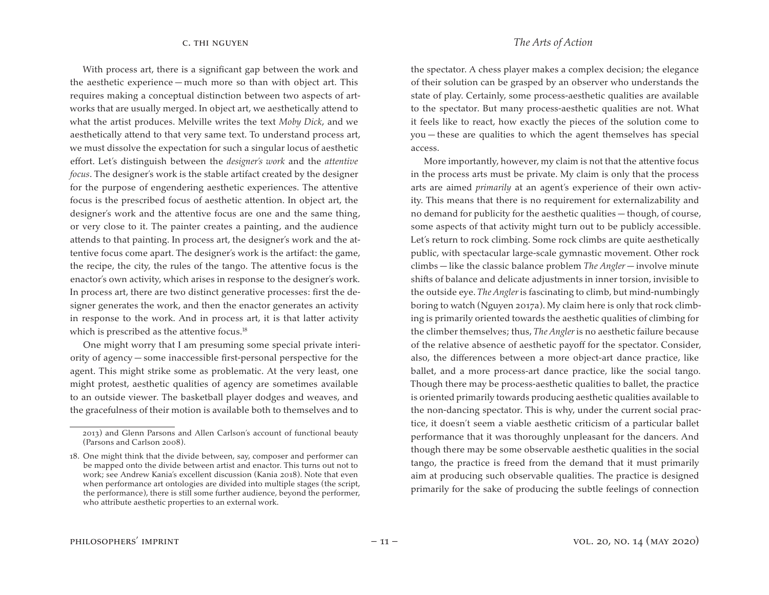With process art, there is a significant gap between the work and the aesthetic experience — much more so than with object art. This requires making a conceptual distinction between two aspects of artworks that are usually merged. In object art, we aesthetically attend to what the artist produces. Melville writes the text *Moby Dick*, and we aesthetically attend to that very same text. To understand process art, we must dissolve the expectation for such a singular locus of aesthetic effort. Let's distinguish between the *designer's work* and the *attentive focus*. The designer's work is the stable artifact created by the designer for the purpose of engendering aesthetic experiences. The attentive focus is the prescribed focus of aesthetic attention. In object art, the designer's work and the attentive focus are one and the same thing, or very close to it. The painter creates a painting, and the audience attends to that painting. In process art, the designer's work and the attentive focus come apart. The designer's work is the artifact: the game, the recipe, the city, the rules of the tango. The attentive focus is the enactor's own activity, which arises in response to the designer's work. In process art, there are two distinct generative processes: first the designer generates the work, and then the enactor generates an activity in response to the work. And in process art, it is that latter activity which is prescribed as the attentive focus.<sup>18</sup>

One might worry that I am presuming some special private interiority of agency — some inaccessible first-personal perspective for the agent. This might strike some as problematic. At the very least, one might protest, aesthetic qualities of agency are sometimes available to an outside viewer. The basketball player dodges and weaves, and the gracefulness of their motion is available both to themselves and to

the spectator. A chess player makes a complex decision; the elegance of their solution can be grasped by an observer who understands the state of play. Certainly, some process-aesthetic qualities are available to the spectator. But many process-aesthetic qualities are not. What it feels like to react, how exactly the pieces of the solution come to you — these are qualities to which the agent themselves has special access.

More importantly, however, my claim is not that the attentive focus in the process arts must be private. My claim is only that the process arts are aimed *primarily* at an agent's experience of their own activity. This means that there is no requirement for externalizability and no demand for publicity for the aesthetic qualities — though, of course, some aspects of that activity might turn out to be publicly accessible. Let's return to rock climbing. Some rock climbs are quite aesthetically public, with spectacular large-scale gymnastic movement. Other rock climbs — like the classic balance problem *The Angler* — involve minute shifts of balance and delicate adjustments in inner torsion, invisible to the outside eye. *The Angler* is fascinating to climb, but mind-numbingly boring to watch (Nguyen 2017a). My claim here is only that rock climbing is primarily oriented towards the aesthetic qualities of climbing for the climber themselves; thus, *The Angler* is no aesthetic failure because of the relative absence of aesthetic payoff for the spectator. Consider, also, the differences between a more object-art dance practice, like ballet, and a more process-art dance practice, like the social tango. Though there may be process-aesthetic qualities to ballet, the practice is oriented primarily towards producing aesthetic qualities available to the non-dancing spectator. This is why, under the current social practice, it doesn't seem a viable aesthetic criticism of a particular ballet performance that it was thoroughly unpleasant for the dancers. And though there may be some observable aesthetic qualities in the social tango, the practice is freed from the demand that it must primarily aim at producing such observable qualities. The practice is designed primarily for the sake of producing the subtle feelings of connection

<sup>2013)</sup> and Glenn Parsons and Allen Carlson's account of functional beauty (Parsons and Carlson 2008).

<sup>18.</sup> One might think that the divide between, say, composer and performer can be mapped onto the divide between artist and enactor. This turns out not to work; see Andrew Kania's excellent discussion (Kania 2018). Note that even when performance art ontologies are divided into multiple stages (the script, the performance), there is still some further audience, beyond the performer, who attribute aesthetic properties to an external work.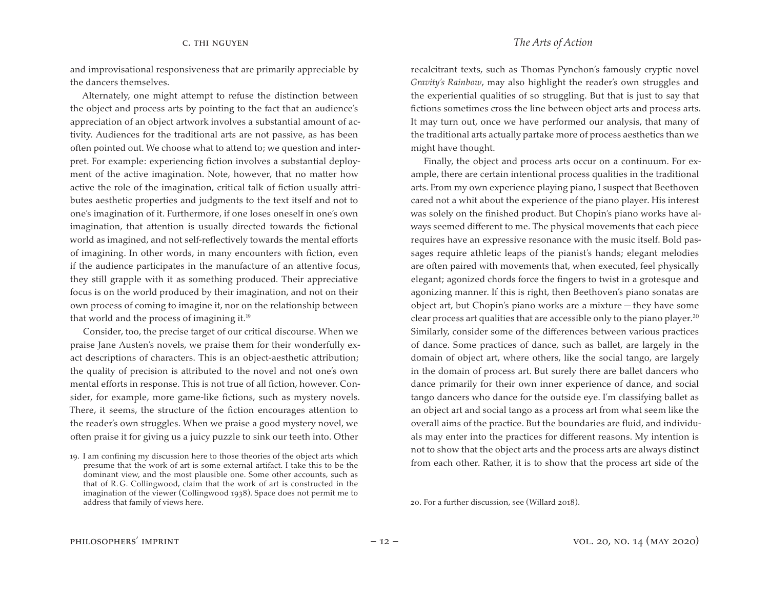and improvisational responsiveness that are primarily appreciable by the dancers themselves.

Alternately, one might attempt to refuse the distinction between the object and process arts by pointing to the fact that an audience's appreciation of an object artwork involves a substantial amount of activity. Audiences for the traditional arts are not passive, as has been often pointed out. We choose what to attend to; we question and interpret. For example: experiencing fiction involves a substantial deployment of the active imagination. Note, however, that no matter how active the role of the imagination, critical talk of fiction usually attributes aesthetic properties and judgments to the text itself and not to one's imagination of it. Furthermore, if one loses oneself in one's own imagination, that attention is usually directed towards the fictional world as imagined, and not self-reflectively towards the mental efforts of imagining. In other words, in many encounters with fiction, even if the audience participates in the manufacture of an attentive focus, they still grapple with it as something produced. Their appreciative focus is on the world produced by their imagination, and not on their own process of coming to imagine it, nor on the relationship between that world and the process of imagining it.19

Consider, too, the precise target of our critical discourse. When we praise Jane Austen's novels, we praise them for their wonderfully exact descriptions of characters. This is an object-aesthetic attribution; the quality of precision is attributed to the novel and not one's own mental efforts in response. This is not true of all fiction, however. Consider, for example, more game-like fictions, such as mystery novels. There, it seems, the structure of the fiction encourages attention to the reader's own struggles. When we praise a good mystery novel, we often praise it for giving us a juicy puzzle to sink our teeth into. Other

recalcitrant texts, such as Thomas Pynchon's famously cryptic novel *Gravity's Rainbow*, may also highlight the reader's own struggles and the experiential qualities of so struggling. But that is just to say that fictions sometimes cross the line between object arts and process arts. It may turn out, once we have performed our analysis, that many of the traditional arts actually partake more of process aesthetics than we might have thought.

Finally, the object and process arts occur on a continuum. For example, there are certain intentional process qualities in the traditional arts. From my own experience playing piano, I suspect that Beethoven cared not a whit about the experience of the piano player. His interest was solely on the finished product. But Chopin's piano works have always seemed different to me. The physical movements that each piece requires have an expressive resonance with the music itself. Bold passages require athletic leaps of the pianist's hands; elegant melodies are often paired with movements that, when executed, feel physically elegant; agonized chords force the fingers to twist in a grotesque and agonizing manner. If this is right, then Beethoven's piano sonatas are object art, but Chopin's piano works are a mixture — they have some clear process art qualities that are accessible only to the piano player.<sup>20</sup> Similarly, consider some of the differences between various practices of dance. Some practices of dance, such as ballet, are largely in the domain of object art, where others, like the social tango, are largely in the domain of process art. But surely there are ballet dancers who dance primarily for their own inner experience of dance, and social tango dancers who dance for the outside eye. I'm classifying ballet as an object art and social tango as a process art from what seem like the overall aims of the practice. But the boundaries are fluid, and individuals may enter into the practices for different reasons. My intention is not to show that the object arts and the process arts are always distinct from each other. Rather, it is to show that the process art side of the

20. For a further discussion, see (Willard 2018).

<sup>19.</sup> I am confining my discussion here to those theories of the object arts which presume that the work of art is some external artifact. I take this to be the dominant view, and the most plausible one. Some other accounts, such as that of R.G. Collingwood, claim that the work of art is constructed in the imagination of the viewer (Collingwood 1938). Space does not permit me to address that family of views here.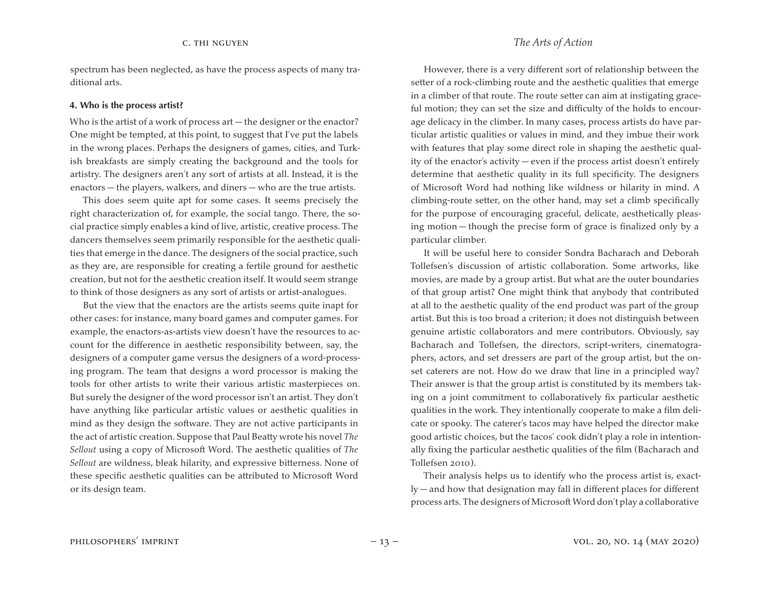spectrum has been neglected, as have the process aspects of many traditional arts.

### **4. Who is the process artist?**

Who is the artist of a work of process art — the designer or the enactor? One might be tempted, at this point, to suggest that I've put the labels in the wrong places. Perhaps the designers of games, cities, and Turkish breakfasts are simply creating the background and the tools for artistry. The designers aren't any sort of artists at all. Instead, it is the enactors — the players, walkers, and diners — who are the true artists.

This does seem quite apt for some cases. It seems precisely the right characterization of, for example, the social tango. There, the social practice simply enables a kind of live, artistic, creative process. The dancers themselves seem primarily responsible for the aesthetic qualities that emerge in the dance. The designers of the social practice, such as they are, are responsible for creating a fertile ground for aesthetic creation, but not for the aesthetic creation itself. It would seem strange to think of those designers as any sort of artists or artist-analogues.

But the view that the enactors are the artists seems quite inapt for other cases: for instance, many board games and computer games. For example, the enactors-as-artists view doesn't have the resources to account for the difference in aesthetic responsibility between, say, the designers of a computer game versus the designers of a word-processing program. The team that designs a word processor is making the tools for other artists to write their various artistic masterpieces on. But surely the designer of the word processor isn't an artist. They don't have anything like particular artistic values or aesthetic qualities in mind as they design the software. They are not active participants in the act of artistic creation. Suppose that Paul Beatty wrote his novel *The Sellout* using a copy of Microsoft Word. The aesthetic qualities of *The Sellout* are wildness, bleak hilarity, and expressive bitterness. None of these specific aesthetic qualities can be attributed to Microsoft Word or its design team.

However, there is a very different sort of relationship between the setter of a rock-climbing route and the aesthetic qualities that emerge in a climber of that route. The route setter can aim at instigating graceful motion; they can set the size and difficulty of the holds to encourage delicacy in the climber. In many cases, process artists do have particular artistic qualities or values in mind, and they imbue their work with features that play some direct role in shaping the aesthetic quality of the enactor's activity — even if the process artist doesn't entirely determine that aesthetic quality in its full specificity. The designers of Microsoft Word had nothing like wildness or hilarity in mind. A climbing-route setter, on the other hand, may set a climb specifically for the purpose of encouraging graceful, delicate, aesthetically pleasing motion — though the precise form of grace is finalized only by a particular climber.

It will be useful here to consider Sondra Bacharach and Deborah Tollefsen's discussion of artistic collaboration. Some artworks, like movies, are made by a group artist. But what are the outer boundaries of that group artist? One might think that anybody that contributed at all to the aesthetic quality of the end product was part of the group artist. But this is too broad a criterion; it does not distinguish between genuine artistic collaborators and mere contributors. Obviously, say Bacharach and Tollefsen, the directors, script-writers, cinematographers, actors, and set dressers are part of the group artist, but the onset caterers are not. How do we draw that line in a principled way? Their answer is that the group artist is constituted by its members taking on a joint commitment to collaboratively fix particular aesthetic qualities in the work. They intentionally cooperate to make a film delicate or spooky. The caterer's tacos may have helped the director make good artistic choices, but the tacos' cook didn't play a role in intentionally fixing the particular aesthetic qualities of the film (Bacharach and Tollefsen 2010).

Their analysis helps us to identify who the process artist is, exactly — and how that designation may fall in different places for different process arts.The designers of MicrosoftWord don't play a collaborative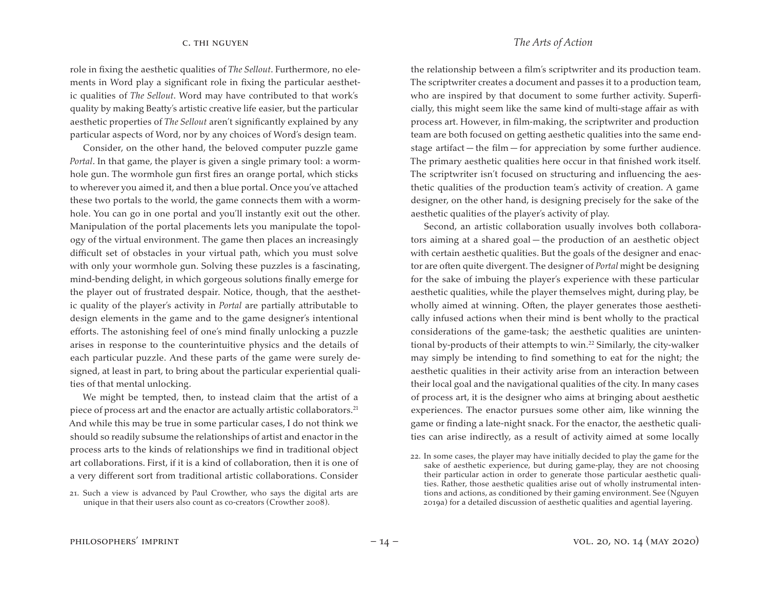role in fixing the aesthetic qualities of *The Sellout*. Furthermore, no elements in Word play a significant role in fixing the particular aesthetic qualities of *The Sellout*. Word may have contributed to that work's quality by making Beatty's artistic creative life easier, but the particular aesthetic properties of *The Sellout* aren't significantly explained by any particular aspects of Word, nor by any choices of Word's design team.

Consider, on the other hand, the beloved computer puzzle game *Portal*. In that game, the player is given a single primary tool: a wormhole gun. The wormhole gun first fires an orange portal, which sticks to wherever you aimed it, and then a blue portal. Once you've attached these two portals to the world, the game connects them with a wormhole. You can go in one portal and you'll instantly exit out the other. Manipulation of the portal placements lets you manipulate the topology of the virtual environment. The game then places an increasingly difficult set of obstacles in your virtual path, which you must solve with only your wormhole gun. Solving these puzzles is a fascinating, mind-bending delight, in which gorgeous solutions finally emerge for the player out of frustrated despair. Notice, though, that the aesthetic quality of the player's activity in *Portal* are partially attributable to design elements in the game and to the game designer's intentional efforts. The astonishing feel of one's mind finally unlocking a puzzle arises in response to the counterintuitive physics and the details of each particular puzzle. And these parts of the game were surely designed, at least in part, to bring about the particular experiential qualities of that mental unlocking.

We might be tempted, then, to instead claim that the artist of a piece of process art and the enactor are actually artistic collaborators.<sup>21</sup> And while this may be true in some particular cases, I do not think we should so readily subsume the relationships of artist and enactor in the process arts to the kinds of relationships we find in traditional object art collaborations. First, if it is a kind of collaboration, then it is one of a very different sort from traditional artistic collaborations. Consider

the relationship between a film's scriptwriter and its production team. The scriptwriter creates a document and passes it to a production team, who are inspired by that document to some further activity. Superficially, this might seem like the same kind of multi-stage affair as with process art. However, in film-making, the scriptwriter and production team are both focused on getting aesthetic qualities into the same endstage artifact — the film — for appreciation by some further audience. The primary aesthetic qualities here occur in that finished work itself. The scriptwriter isn't focused on structuring and influencing the aesthetic qualities of the production team's activity of creation. A game designer, on the other hand, is designing precisely for the sake of the aesthetic qualities of the player's activity of play.

Second, an artistic collaboration usually involves both collaborators aiming at a shared goal — the production of an aesthetic object with certain aesthetic qualities. But the goals of the designer and enactor are often quite divergent. The designer of *Portal* might be designing for the sake of imbuing the player's experience with these particular aesthetic qualities, while the player themselves might, during play, be wholly aimed at winning. Often, the player generates those aesthetically infused actions when their mind is bent wholly to the practical considerations of the game-task; the aesthetic qualities are unintentional by-products of their attempts to win.<sup>22</sup> Similarly, the city-walker may simply be intending to find something to eat for the night; the aesthetic qualities in their activity arise from an interaction between their local goal and the navigational qualities of the city. In many cases of process art, it is the designer who aims at bringing about aesthetic experiences. The enactor pursues some other aim, like winning the game or finding a late-night snack. For the enactor, the aesthetic qualities can arise indirectly, as a result of activity aimed at some locally

<sup>21.</sup> Such a view is advanced by Paul Crowther, who says the digital arts are unique in that their users also count as co-creators (Crowther 2008).

<sup>22.</sup> In some cases, the player may have initially decided to play the game for the sake of aesthetic experience, but during game-play, they are not choosing their particular action in order to generate those particular aesthetic qualities. Rather, those aesthetic qualities arise out of wholly instrumental intentions and actions, as conditioned by their gaming environment. See (Nguyen 2019a) for a detailed discussion of aesthetic qualities and agential layering.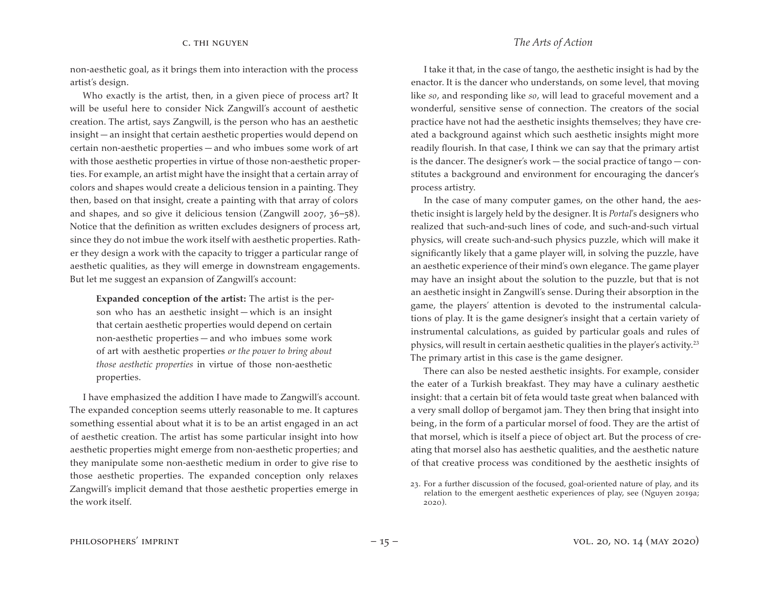non-aesthetic goal, as it brings them into interaction with the process artist's design.

Who exactly is the artist, then, in a given piece of process art? It will be useful here to consider Nick Zangwill's account of aesthetic creation. The artist, says Zangwill, is the person who has an aesthetic insight — an insight that certain aesthetic properties would depend on certain non-aesthetic properties — and who imbues some work of art with those aesthetic properties in virtue of those non-aesthetic properties. For example, an artist might have the insight that a certain array of colors and shapes would create a delicious tension in a painting. They then, based on that insight, create a painting with that array of colors and shapes, and so give it delicious tension (Zangwill 2007, 36–58). Notice that the definition as written excludes designers of process art, since they do not imbue the work itself with aesthetic properties. Rather they design a work with the capacity to trigger a particular range of aesthetic qualities, as they will emerge in downstream engagements. But let me suggest an expansion of Zangwill's account:

**Expanded conception of the artist:** The artist is the person who has an aesthetic insight — which is an insight that certain aesthetic properties would depend on certain non-aesthetic properties — and who imbues some work of art with aesthetic properties *or the power to bring about those aesthetic properties* in virtue of those non-aesthetic properties.

I have emphasized the addition I have made to Zangwill's account. The expanded conception seems utterly reasonable to me. It captures something essential about what it is to be an artist engaged in an act of aesthetic creation. The artist has some particular insight into how aesthetic properties might emerge from non-aesthetic properties; and they manipulate some non-aesthetic medium in order to give rise to those aesthetic properties. The expanded conception only relaxes Zangwill's implicit demand that those aesthetic properties emerge in the work itself.

I take it that, in the case of tango, the aesthetic insight is had by the enactor. It is the dancer who understands, on some level, that moving like *so*, and responding like *so*, will lead to graceful movement and a wonderful, sensitive sense of connection. The creators of the social practice have not had the aesthetic insights themselves; they have created a background against which such aesthetic insights might more readily flourish. In that case, I think we can say that the primary artist is the dancer. The designer's work — the social practice of tango — constitutes a background and environment for encouraging the dancer's process artistry.

In the case of many computer games, on the other hand, the aesthetic insight is largely held by the designer. It is *Portal*'s designers who realized that such-and-such lines of code, and such-and-such virtual physics, will create such-and-such physics puzzle, which will make it significantly likely that a game player will, in solving the puzzle, have an aesthetic experience of their mind's own elegance. The game player may have an insight about the solution to the puzzle, but that is not an aesthetic insight in Zangwill's sense. During their absorption in the game, the players' attention is devoted to the instrumental calculations of play. It is the game designer's insight that a certain variety of instrumental calculations, as guided by particular goals and rules of physics, will result in certain aesthetic qualities in the player's activity.<sup>23</sup> The primary artist in this case is the game designer.

There can also be nested aesthetic insights. For example, consider the eater of a Turkish breakfast. They may have a culinary aesthetic insight: that a certain bit of feta would taste great when balanced with a very small dollop of bergamot jam. They then bring that insight into being, in the form of a particular morsel of food. They are the artist of that morsel, which is itself a piece of object art. But the process of creating that morsel also has aesthetic qualities, and the aesthetic nature of that creative process was conditioned by the aesthetic insights of

<sup>23.</sup> For a further discussion of the focused, goal-oriented nature of play, and its relation to the emergent aesthetic experiences of play, see (Nguyen 2019a; 2020).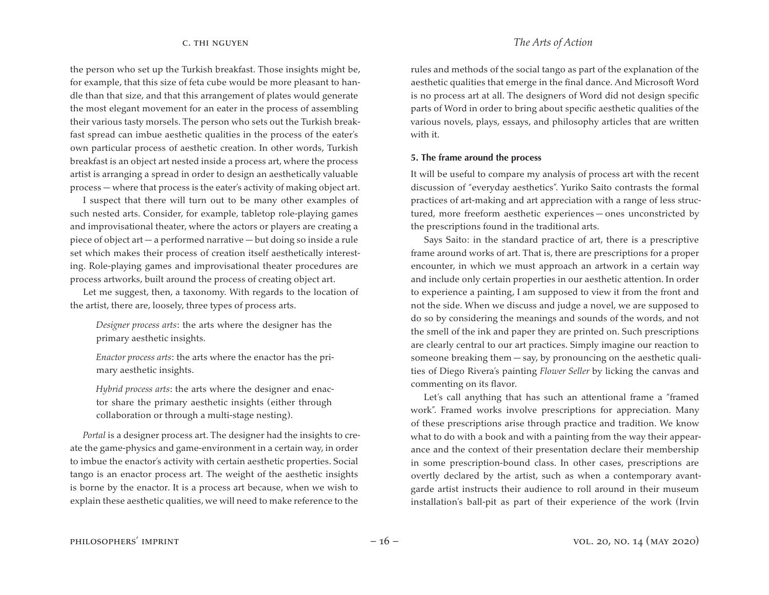the person who set up the Turkish breakfast. Those insights might be, for example, that this size of feta cube would be more pleasant to handle than that size, and that this arrangement of plates would generate the most elegant movement for an eater in the process of assembling their various tasty morsels. The person who sets out the Turkish breakfast spread can imbue aesthetic qualities in the process of the eater's own particular process of aesthetic creation. In other words, Turkish breakfast is an object art nested inside a process art, where the process artist is arranging a spread in order to design an aesthetically valuable process — where that process is the eater's activity of making object art.

I suspect that there will turn out to be many other examples of such nested arts. Consider, for example, tabletop role-playing games and improvisational theater, where the actors or players are creating a piece of object art — a performed narrative — but doing so inside a rule set which makes their process of creation itself aesthetically interesting. Role-playing games and improvisational theater procedures are process artworks, built around the process of creating object art.

Let me suggest, then, a taxonomy. With regards to the location of the artist, there are, loosely, three types of process arts.

*Designer process arts*: the arts where the designer has the primary aesthetic insights.

*Enactor process arts*: the arts where the enactor has the primary aesthetic insights.

*Hybrid process arts*: the arts where the designer and enactor share the primary aesthetic insights (either through collaboration or through a multi-stage nesting).

*Portal* is a designer process art. The designer had the insights to create the game-physics and game-environment in a certain way, in order to imbue the enactor's activity with certain aesthetic properties. Social tango is an enactor process art. The weight of the aesthetic insights is borne by the enactor. It is a process art because, when we wish to explain these aesthetic qualities, we will need to make reference to the

rules and methods of the social tango as part of the explanation of the aesthetic qualities that emerge in the final dance. And Microsoft Word is no process art at all. The designers of Word did not design specific parts of Word in order to bring about specific aesthetic qualities of the various novels, plays, essays, and philosophy articles that are written with it.

### **5. The frame around the process**

It will be useful to compare my analysis of process art with the recent discussion of "everyday aesthetics". Yuriko Saito contrasts the formal practices of art-making and art appreciation with a range of less structured, more freeform aesthetic experiences — ones unconstricted by the prescriptions found in the traditional arts.

Says Saito: in the standard practice of art, there is a prescriptive frame around works of art. That is, there are prescriptions for a proper encounter, in which we must approach an artwork in a certain way and include only certain properties in our aesthetic attention. In order to experience a painting, I am supposed to view it from the front and not the side. When we discuss and judge a novel, we are supposed to do so by considering the meanings and sounds of the words, and not the smell of the ink and paper they are printed on. Such prescriptions are clearly central to our art practices. Simply imagine our reaction to someone breaking them  $-\text{say}$ , by pronouncing on the aesthetic qualities of Diego Rivera's painting *Flower Seller* by licking the canvas and commenting on its flavor.

Let's call anything that has such an attentional frame a "framed work". Framed works involve prescriptions for appreciation. Many of these prescriptions arise through practice and tradition. We know what to do with a book and with a painting from the way their appearance and the context of their presentation declare their membership in some prescription-bound class. In other cases, prescriptions are overtly declared by the artist, such as when a contemporary avantgarde artist instructs their audience to roll around in their museum installation's ball-pit as part of their experience of the work (Irvin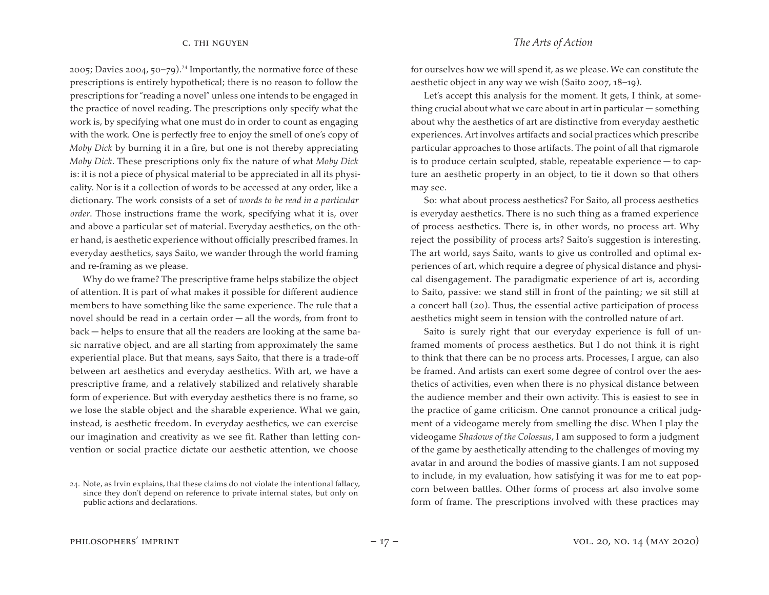2005; Davies 2004, 50–79).<sup>24</sup> Importantly, the normative force of these prescriptions is entirely hypothetical; there is no reason to follow the prescriptions for "reading a novel" unless one intends to be engaged in the practice of novel reading. The prescriptions only specify what the work is, by specifying what one must do in order to count as engaging with the work. One is perfectly free to enjoy the smell of one's copy of *Moby Dick* by burning it in a fire, but one is not thereby appreciating *Moby Dick*. These prescriptions only fix the nature of what *Moby Dick*  is: it is not a piece of physical material to be appreciated in all its physicality. Nor is it a collection of words to be accessed at any order, like a dictionary. The work consists of a set of *words to be read in a particular order*. Those instructions frame the work, specifying what it is, over and above a particular set of material. Everyday aesthetics, on the other hand, is aesthetic experience without officially prescribed frames. In everyday aesthetics, says Saito, we wander through the world framing and re-framing as we please.

Why do we frame? The prescriptive frame helps stabilize the object of attention. It is part of what makes it possible for different audience members to have something like the same experience. The rule that a novel should be read in a certain order — all the words, from front to back — helps to ensure that all the readers are looking at the same basic narrative object, and are all starting from approximately the same experiential place. But that means, says Saito, that there is a trade-off between art aesthetics and everyday aesthetics. With art, we have a prescriptive frame, and a relatively stabilized and relatively sharable form of experience. But with everyday aesthetics there is no frame, so we lose the stable object and the sharable experience. What we gain, instead, is aesthetic freedom. In everyday aesthetics, we can exercise our imagination and creativity as we see fit. Rather than letting convention or social practice dictate our aesthetic attention, we choose

for ourselves how we will spend it, as we please. We can constitute the aesthetic object in any way we wish (Saito 2007, 18–19).

Let's accept this analysis for the moment. It gets, I think, at something crucial about what we care about in art in particular — something about why the aesthetics of art are distinctive from everyday aesthetic experiences. Art involves artifacts and social practices which prescribe particular approaches to those artifacts. The point of all that rigmarole is to produce certain sculpted, stable, repeatable experience — to capture an aesthetic property in an object, to tie it down so that others may see.

So: what about process aesthetics? For Saito, all process aesthetics is everyday aesthetics. There is no such thing as a framed experience of process aesthetics. There is, in other words, no process art. Why reject the possibility of process arts? Saito's suggestion is interesting. The art world, says Saito, wants to give us controlled and optimal experiences of art, which require a degree of physical distance and physical disengagement. The paradigmatic experience of art is, according to Saito, passive: we stand still in front of the painting; we sit still at a concert hall (20). Thus, the essential active participation of process aesthetics might seem in tension with the controlled nature of art.

Saito is surely right that our everyday experience is full of unframed moments of process aesthetics. But I do not think it is right to think that there can be no process arts. Processes, I argue, can also be framed. And artists can exert some degree of control over the aesthetics of activities, even when there is no physical distance between the audience member and their own activity. This is easiest to see in the practice of game criticism. One cannot pronounce a critical judgment of a videogame merely from smelling the disc. When I play the videogame *Shadows of the Colossus*, I am supposed to form a judgment of the game by aesthetically attending to the challenges of moving my avatar in and around the bodies of massive giants. I am not supposed to include, in my evaluation, how satisfying it was for me to eat popcorn between battles. Other forms of process art also involve some form of frame. The prescriptions involved with these practices may

<sup>24.</sup> Note, as Irvin explains, that these claims do not violate the intentional fallacy, since they don't depend on reference to private internal states, but only on public actions and declarations.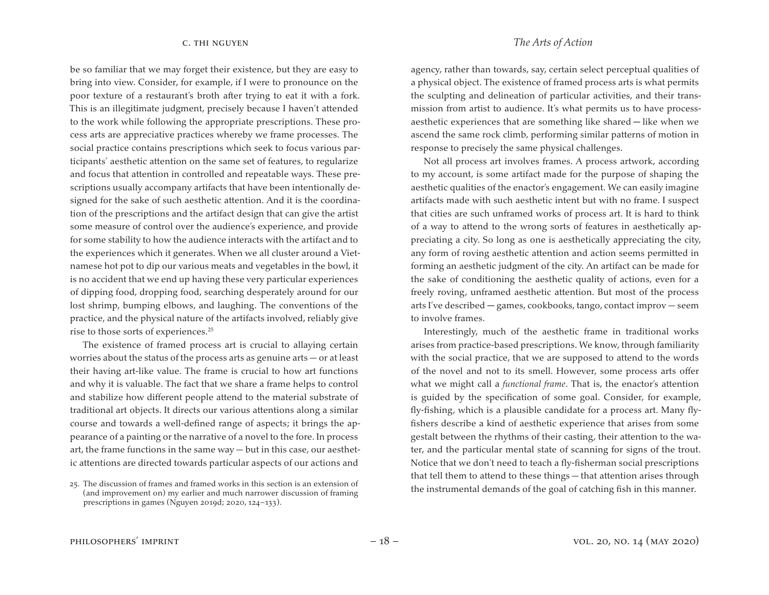be so familiar that we may forget their existence, but they are easy to bring into view. Consider, for example, if I were to pronounce on the poor texture of a restaurant's broth after trying to eat it with a fork. This is an illegitimate judgment, precisely because I haven't attended to the work while following the appropriate prescriptions. These process arts are appreciative practices whereby we frame processes. The social practice contains prescriptions which seek to focus various participants' aesthetic attention on the same set of features, to regularize and focus that attention in controlled and repeatable ways. These prescriptions usually accompany artifacts that have been intentionally designed for the sake of such aesthetic attention. And it is the coordination of the prescriptions and the artifact design that can give the artist some measure of control over the audience's experience, and provide for some stability to how the audience interacts with the artifact and to the experiences which it generates. When we all cluster around a Vietnamese hot pot to dip our various meats and vegetables in the bowl, it is no accident that we end up having these very particular experiences of dipping food, dropping food, searching desperately around for our lost shrimp, bumping elbows, and laughing. The conventions of the practice, and the physical nature of the artifacts involved, reliably give rise to those sorts of experiences.25

The existence of framed process art is crucial to allaying certain worries about the status of the process arts as genuine arts — or at least their having art-like value. The frame is crucial to how art functions and why it is valuable. The fact that we share a frame helps to control and stabilize how different people attend to the material substrate of traditional art objects. It directs our various attentions along a similar course and towards a well-defined range of aspects; it brings the appearance of a painting or the narrative of a novel to the fore. In process art, the frame functions in the same way — but in this case, our aesthetic attentions are directed towards particular aspects of our actions and

c. thi nguyen *The Arts of Action*

agency, rather than towards, say, certain select perceptual qualities of a physical object. The existence of framed process arts is what permits the sculpting and delineation of particular activities, and their transmission from artist to audience. It's what permits us to have processaesthetic experiences that are something like shared — like when we ascend the same rock climb, performing similar patterns of motion in response to precisely the same physical challenges.

Not all process art involves frames. A process artwork, according to my account, is some artifact made for the purpose of shaping the aesthetic qualities of the enactor's engagement. We can easily imagine artifacts made with such aesthetic intent but with no frame. I suspect that cities are such unframed works of process art. It is hard to think of a way to attend to the wrong sorts of features in aesthetically appreciating a city. So long as one is aesthetically appreciating the city, any form of roving aesthetic attention and action seems permitted in forming an aesthetic judgment of the city. An artifact can be made for the sake of conditioning the aesthetic quality of actions, even for a freely roving, unframed aesthetic attention. But most of the process arts I've described — games, cookbooks, tango, contact improv — seem to involve frames.

Interestingly, much of the aesthetic frame in traditional works arises from practice-based prescriptions. We know, through familiarity with the social practice, that we are supposed to attend to the words of the novel and not to its smell. However, some process arts offer what we might call a *functional frame*. That is, the enactor's attention is guided by the specification of some goal. Consider, for example, fly-fishing, which is a plausible candidate for a process art. Many flyfishers describe a kind of aesthetic experience that arises from some gestalt between the rhythms of their casting, their attention to the water, and the particular mental state of scanning for signs of the trout. Notice that we don't need to teach a fly-fisherman social prescriptions that tell them to attend to these things — that attention arises through the instrumental demands of the goal of catching fish in this manner.

<sup>25.</sup> The discussion of frames and framed works in this section is an extension of (and improvement on) my earlier and much narrower discussion of framing prescriptions in games (Nguyen 2019d; 2020, 124–133).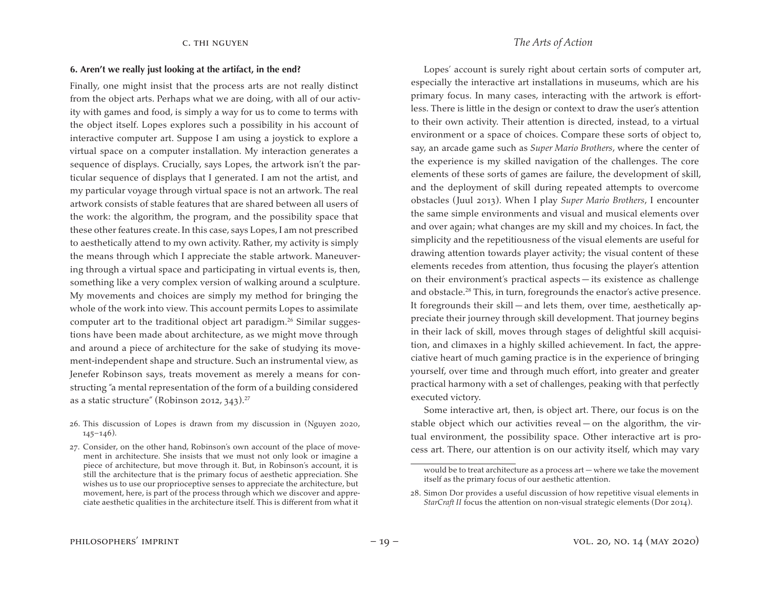# **6. Aren't we really just looking at the artifact, in the end?**

Finally, one might insist that the process arts are not really distinct from the object arts. Perhaps what we are doing, with all of our activity with games and food, is simply a way for us to come to terms with the object itself. Lopes explores such a possibility in his account of interactive computer art. Suppose I am using a joystick to explore a virtual space on a computer installation. My interaction generates a sequence of displays. Crucially, says Lopes, the artwork isn't the particular sequence of displays that I generated. I am not the artist, and my particular voyage through virtual space is not an artwork. The real artwork consists of stable features that are shared between all users of the work: the algorithm, the program, and the possibility space that these other features create. In this case, says Lopes, I am not prescribed to aesthetically attend to my own activity. Rather, my activity is simply the means through which I appreciate the stable artwork. Maneuvering through a virtual space and participating in virtual events is, then, something like a very complex version of walking around a sculpture. My movements and choices are simply my method for bringing the whole of the work into view. This account permits Lopes to assimilate computer art to the traditional object art paradigm.26 Similar suggestions have been made about architecture, as we might move through and around a piece of architecture for the sake of studying its movement-independent shape and structure. Such an instrumental view, as Jenefer Robinson says, treats movement as merely a means for constructing "a mental representation of the form of a building considered as a static structure" (Robinson 2012, 343).<sup>27</sup>

Lopes' account is surely right about certain sorts of computer art, especially the interactive art installations in museums, which are his primary focus. In many cases, interacting with the artwork is effortless. There is little in the design or context to draw the user's attention to their own activity. Their attention is directed, instead, to a virtual environment or a space of choices. Compare these sorts of object to, say, an arcade game such as *Super Mario Brothers*, where the center of the experience is my skilled navigation of the challenges. The core elements of these sorts of games are failure, the development of skill, and the deployment of skill during repeated attempts to overcome obstacles (Juul 2013). When I play *Super Mario Brothers*, I encounter the same simple environments and visual and musical elements over and over again; what changes are my skill and my choices. In fact, the simplicity and the repetitiousness of the visual elements are useful for drawing attention towards player activity; the visual content of these elements recedes from attention, thus focusing the player's attention on their environment's practical aspects — its existence as challenge and obstacle.28 This, in turn, foregrounds the enactor's active presence. It foregrounds their skill — and lets them, over time, aesthetically appreciate their journey through skill development. That journey begins in their lack of skill, moves through stages of delightful skill acquisition, and climaxes in a highly skilled achievement. In fact, the appreciative heart of much gaming practice is in the experience of bringing yourself, over time and through much effort, into greater and greater practical harmony with a set of challenges, peaking with that perfectly executed victory.

Some interactive art, then, is object art. There, our focus is on the stable object which our activities reveal — on the algorithm, the virtual environment, the possibility space. Other interactive art is process art. There, our attention is on our activity itself, which may vary

<sup>26.</sup> This discussion of Lopes is drawn from my discussion in (Nguyen 2020,  $145 - 146$ ).

<sup>27.</sup> Consider, on the other hand, Robinson's own account of the place of movement in architecture. She insists that we must not only look or imagine a piece of architecture, but move through it. But, in Robinson's account, it is still the architecture that is the primary focus of aesthetic appreciation. She wishes us to use our proprioceptive senses to appreciate the architecture, but movement, here, is part of the process through which we discover and appreciate aesthetic qualities in the architecture itself. This is different from what it

would be to treat architecture as a process art — where we take the movement itself as the primary focus of our aesthetic attention.

<sup>28.</sup> Simon Dor provides a useful discussion of how repetitive visual elements in *StarCraft II* focus the attention on non-visual strategic elements (Dor 2014).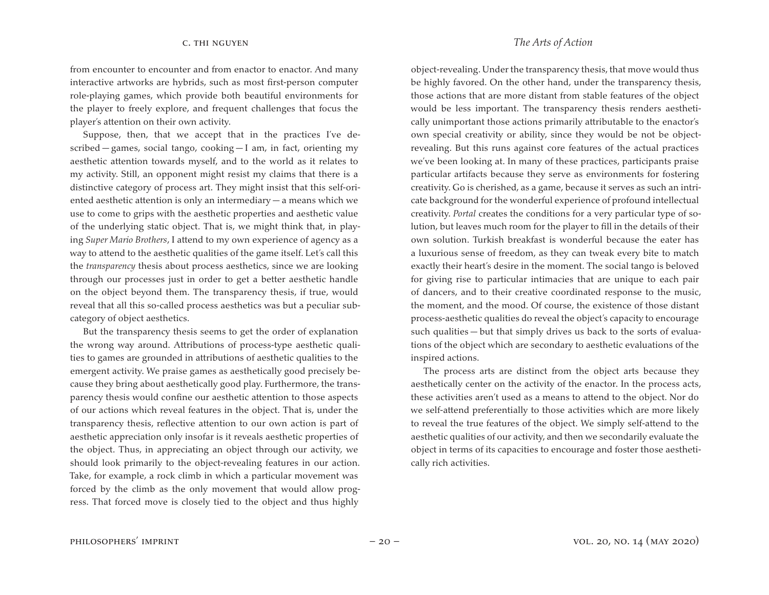from encounter to encounter and from enactor to enactor. And many interactive artworks are hybrids, such as most first-person computer role-playing games, which provide both beautiful environments for the player to freely explore, and frequent challenges that focus the player's attention on their own activity.

Suppose, then, that we accept that in the practices I've described — games, social tango, cooking — I am, in fact, orienting my aesthetic attention towards myself, and to the world as it relates to my activity. Still, an opponent might resist my claims that there is a distinctive category of process art. They might insist that this self-oriented aesthetic attention is only an intermediary — a means which we use to come to grips with the aesthetic properties and aesthetic value of the underlying static object. That is, we might think that, in playing *Super Mario Brothers*, I attend to my own experience of agency as a way to attend to the aesthetic qualities of the game itself. Let's call this the *transparency* thesis about process aesthetics, since we are looking through our processes just in order to get a better aesthetic handle on the object beyond them. The transparency thesis, if true, would reveal that all this so-called process aesthetics was but a peculiar subcategory of object aesthetics.

But the transparency thesis seems to get the order of explanation the wrong way around. Attributions of process-type aesthetic qualities to games are grounded in attributions of aesthetic qualities to the emergent activity. We praise games as aesthetically good precisely because they bring about aesthetically good play. Furthermore, the transparency thesis would confine our aesthetic attention to those aspects of our actions which reveal features in the object. That is, under the transparency thesis, reflective attention to our own action is part of aesthetic appreciation only insofar is it reveals aesthetic properties of the object. Thus, in appreciating an object through our activity, we should look primarily to the object-revealing features in our action. Take, for example, a rock climb in which a particular movement was forced by the climb as the only movement that would allow progress. That forced move is closely tied to the object and thus highly

object-revealing. Under the transparency thesis, that move would thus be highly favored. On the other hand, under the transparency thesis, those actions that are more distant from stable features of the object would be less important. The transparency thesis renders aesthetically unimportant those actions primarily attributable to the enactor's own special creativity or ability, since they would be not be objectrevealing. But this runs against core features of the actual practices we've been looking at. In many of these practices, participants praise particular artifacts because they serve as environments for fostering creativity. Go is cherished, as a game, because it serves as such an intricate background for the wonderful experience of profound intellectual creativity. *Portal* creates the conditions for a very particular type of solution, but leaves much room for the player to fill in the details of their

own solution. Turkish breakfast is wonderful because the eater has a luxurious sense of freedom, as they can tweak every bite to match exactly their heart's desire in the moment. The social tango is beloved for giving rise to particular intimacies that are unique to each pair of dancers, and to their creative coordinated response to the music, the moment, and the mood. Of course, the existence of those distant process-aesthetic qualities do reveal the object's capacity to encourage such qualities — but that simply drives us back to the sorts of evaluations of the object which are secondary to aesthetic evaluations of the inspired actions.

The process arts are distinct from the object arts because they aesthetically center on the activity of the enactor. In the process acts, these activities aren't used as a means to attend to the object. Nor do we self-attend preferentially to those activities which are more likely to reveal the true features of the object. We simply self-attend to the aesthetic qualities of our activity, and then we secondarily evaluate the object in terms of its capacities to encourage and foster those aesthetically rich activities.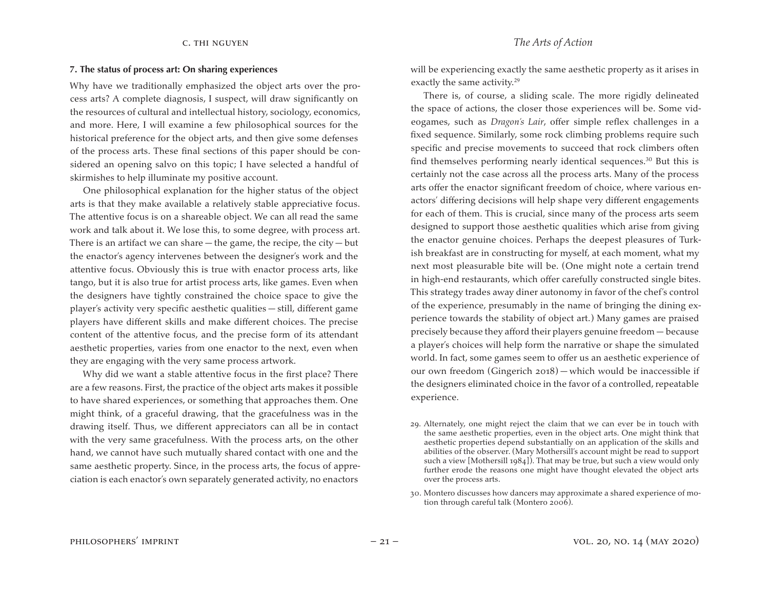### **7. The status of process art: On sharing experiences**

Why have we traditionally emphasized the object arts over the process arts? A complete diagnosis, I suspect, will draw significantly on the resources of cultural and intellectual history, sociology, economics, and more. Here, I will examine a few philosophical sources for the historical preference for the object arts, and then give some defenses of the process arts. These final sections of this paper should be considered an opening salvo on this topic; I have selected a handful of skirmishes to help illuminate my positive account.

One philosophical explanation for the higher status of the object arts is that they make available a relatively stable appreciative focus. The attentive focus is on a shareable object. We can all read the same work and talk about it. We lose this, to some degree, with process art. There is an artifact we can share  $-$  the game, the recipe, the city  $-$  but the enactor's agency intervenes between the designer's work and the attentive focus. Obviously this is true with enactor process arts, like tango, but it is also true for artist process arts, like games. Even when the designers have tightly constrained the choice space to give the player's activity very specific aesthetic qualities — still, different game players have different skills and make different choices. The precise content of the attentive focus, and the precise form of its attendant aesthetic properties, varies from one enactor to the next, even when they are engaging with the very same process artwork.

Why did we want a stable attentive focus in the first place? There are a few reasons. First, the practice of the object arts makes it possible to have shared experiences, or something that approaches them. One might think, of a graceful drawing, that the gracefulness was in the drawing itself. Thus, we different appreciators can all be in contact with the very same gracefulness. With the process arts, on the other hand, we cannot have such mutually shared contact with one and the same aesthetic property. Since, in the process arts, the focus of appreciation is each enactor's own separately generated activity, no enactors

will be experiencing exactly the same aesthetic property as it arises in exactly the same activity.<sup>29</sup>

There is, of course, a sliding scale. The more rigidly delineated the space of actions, the closer those experiences will be. Some videogames, such as *Dragon's Lair*, offer simple reflex challenges in a fixed sequence. Similarly, some rock climbing problems require such specific and precise movements to succeed that rock climbers often find themselves performing nearly identical sequences.<sup>30</sup> But this is certainly not the case across all the process arts. Many of the process arts offer the enactor significant freedom of choice, where various enactors' differing decisions will help shape very different engagements for each of them. This is crucial, since many of the process arts seem designed to support those aesthetic qualities which arise from giving the enactor genuine choices. Perhaps the deepest pleasures of Turkish breakfast are in constructing for myself, at each moment, what my next most pleasurable bite will be. (One might note a certain trend in high-end restaurants, which offer carefully constructed single bites. This strategy trades away diner autonomy in favor of the chef's control of the experience, presumably in the name of bringing the dining experience towards the stability of object art.) Many games are praised precisely because they afford their players genuine freedom — because a player's choices will help form the narrative or shape the simulated world. In fact, some games seem to offer us an aesthetic experience of our own freedom (Gingerich 2018) — which would be inaccessible if the designers eliminated choice in the favor of a controlled, repeatable experience.

- 29. Alternately, one might reject the claim that we can ever be in touch with the same aesthetic properties, even in the object arts. One might think that aesthetic properties depend substantially on an application of the skills and abilities of the observer. (Mary Mothersill's account might be read to support such a view [Mothersill 1984]). That may be true, but such a view would only further erode the reasons one might have thought elevated the object arts over the process arts.
- 30. Montero discusses how dancers may approximate a shared experience of motion through careful talk (Montero 2006).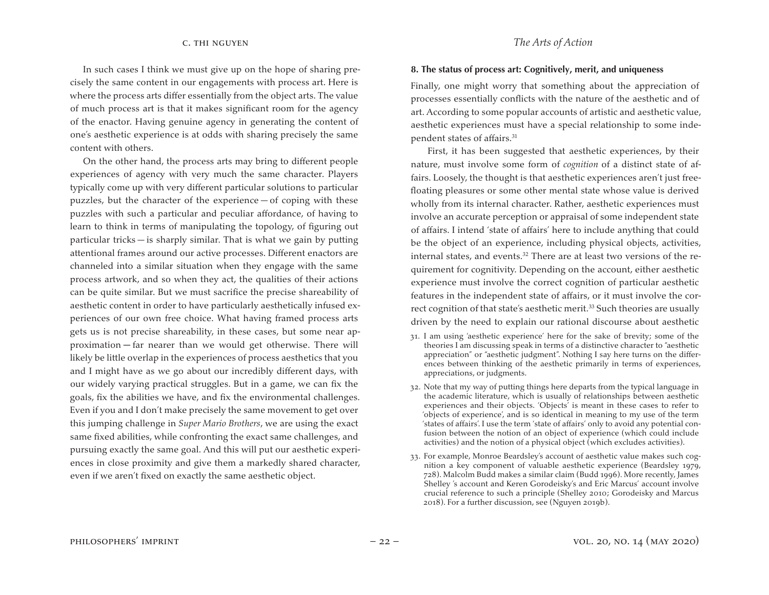# In such cases I think we must give up on the hope of sharing precisely the same content in our engagements with process art. Here is where the process arts differ essentially from the object arts. The value of much process art is that it makes significant room for the agency of the enactor. Having genuine agency in generating the content of one's aesthetic experience is at odds with sharing precisely the same content with others.

On the other hand, the process arts may bring to different people experiences of agency with very much the same character. Players typically come up with very different particular solutions to particular puzzles, but the character of the experience — of coping with these puzzles with such a particular and peculiar affordance, of having to learn to think in terms of manipulating the topology, of figuring out particular tricks — is sharply similar. That is what we gain by putting attentional frames around our active processes. Different enactors are channeled into a similar situation when they engage with the same process artwork, and so when they act, the qualities of their actions can be quite similar. But we must sacrifice the precise shareability of aesthetic content in order to have particularly aesthetically infused experiences of our own free choice. What having framed process arts gets us is not precise shareability, in these cases, but some near approximation — far nearer than we would get otherwise. There will likely be little overlap in the experiences of process aesthetics that you and I might have as we go about our incredibly different days, with our widely varying practical struggles. But in a game, we can fix the goals, fix the abilities we have, and fix the environmental challenges. Even if you and I don't make precisely the same movement to get over this jumping challenge in *Super Mario Brothers*, we are using the exact same fixed abilities, while confronting the exact same challenges, and pursuing exactly the same goal. And this will put our aesthetic experiences in close proximity and give them a markedly shared character, even if we aren't fixed on exactly the same aesthetic object.

# c. thi nguyen *The Arts of Action*

# **8. The status of process art: Cognitively, merit, and uniqueness**

Finally, one might worry that something about the appreciation of processes essentially conflicts with the nature of the aesthetic and of art. According to some popular accounts of artistic and aesthetic value, aesthetic experiences must have a special relationship to some independent states of affairs.<sup>31</sup>

First, it has been suggested that aesthetic experiences, by their nature, must involve some form of *cognition* of a distinct state of affairs. Loosely, the thought is that aesthetic experiences aren't just freefloating pleasures or some other mental state whose value is derived wholly from its internal character. Rather, aesthetic experiences must involve an accurate perception or appraisal of some independent state of affairs. I intend 'state of affairs' here to include anything that could be the object of an experience, including physical objects, activities, internal states, and events.<sup>32</sup> There are at least two versions of the requirement for cognitivity. Depending on the account, either aesthetic experience must involve the correct cognition of particular aesthetic features in the independent state of affairs, or it must involve the correct cognition of that state's aesthetic merit.<sup>33</sup> Such theories are usually driven by the need to explain our rational discourse about aesthetic

- 31. I am using 'aesthetic experience' here for the sake of brevity; some of the theories I am discussing speak in terms of a distinctive character to "aesthetic appreciation" or "aesthetic judgment". Nothing I say here turns on the differences between thinking of the aesthetic primarily in terms of experiences, appreciations, or judgments.
- 32. Note that my way of putting things here departs from the typical language in the academic literature, which is usually of relationships between aesthetic experiences and their objects. 'Objects' is meant in these cases to refer to 'objects of experience', and is so identical in meaning to my use of the term 'states of affairs'. I use the term 'state of affairs' only to avoid any potential confusion between the notion of an object of experience (which could include activities) and the notion of a physical object (which excludes activities).
- 33. For example, Monroe Beardsley's account of aesthetic value makes such cognition a key component of valuable aesthetic experience (Beardsley 1979, 728). Malcolm Budd makes a similar claim (Budd 1996). More recently, James Shelley 's account and Keren Gorodeisky's and Eric Marcus' account involve crucial reference to such a principle (Shelley 2010; Gorodeisky and Marcus 2018). For a further discussion, see (Nguyen 2019b).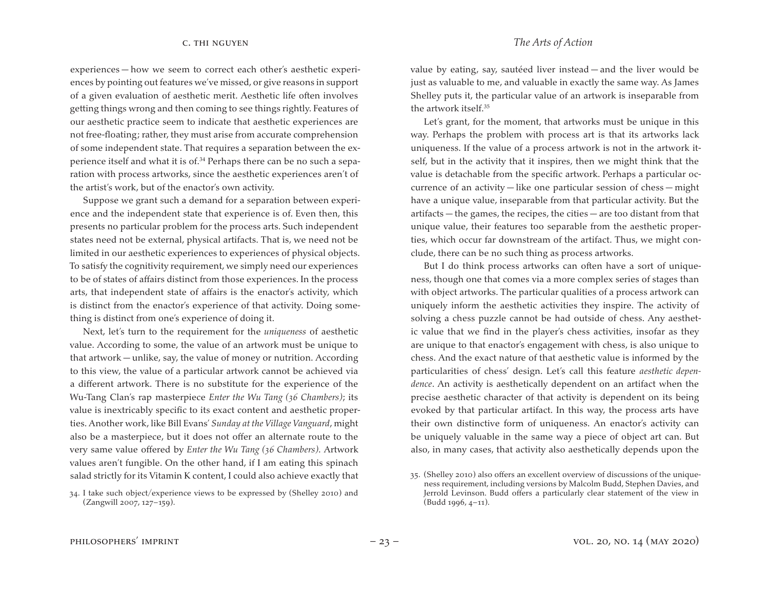experiences — how we seem to correct each other's aesthetic experiences by pointing out features we've missed, or give reasons in support of a given evaluation of aesthetic merit. Aesthetic life often involves getting things wrong and then coming to see things rightly. Features of our aesthetic practice seem to indicate that aesthetic experiences are not free-floating; rather, they must arise from accurate comprehension of some independent state. That requires a separation between the experience itself and what it is of.34 Perhaps there can be no such a separation with process artworks, since the aesthetic experiences aren't of the artist's work, but of the enactor's own activity.

Suppose we grant such a demand for a separation between experience and the independent state that experience is of. Even then, this presents no particular problem for the process arts. Such independent states need not be external, physical artifacts. That is, we need not be limited in our aesthetic experiences to experiences of physical objects. To satisfy the cognitivity requirement, we simply need our experiences to be of states of affairs distinct from those experiences. In the process arts, that independent state of affairs is the enactor's activity, which is distinct from the enactor's experience of that activity. Doing something is distinct from one's experience of doing it.

Next, let's turn to the requirement for the *uniqueness* of aesthetic value. According to some, the value of an artwork must be unique to that artwork — unlike, say, the value of money or nutrition. According to this view, the value of a particular artwork cannot be achieved via a different artwork. There is no substitute for the experience of the Wu-Tang Clan's rap masterpiece *Enter the Wu Tang (36 Chambers)*; its value is inextricably specific to its exact content and aesthetic properties. Another work, like Bill Evans' *Sunday at the Village Vanguard*, might also be a masterpiece, but it does not offer an alternate route to the very same value offered by *Enter the Wu Tang (36 Chambers)*. Artwork values aren't fungible. On the other hand, if I am eating this spinach salad strictly for its Vitamin K content, I could also achieve exactly that

value by eating, say, sautéed liver instead — and the liver would be just as valuable to me, and valuable in exactly the same way. As James Shelley puts it, the particular value of an artwork is inseparable from the artwork itself.35

Let's grant, for the moment, that artworks must be unique in this way. Perhaps the problem with process art is that its artworks lack uniqueness. If the value of a process artwork is not in the artwork itself, but in the activity that it inspires, then we might think that the value is detachable from the specific artwork. Perhaps a particular occurrence of an activity — like one particular session of chess — might have a unique value, inseparable from that particular activity. But the artifacts — the games, the recipes, the cities — are too distant from that unique value, their features too separable from the aesthetic properties, which occur far downstream of the artifact. Thus, we might conclude, there can be no such thing as process artworks.

But I do think process artworks can often have a sort of uniqueness, though one that comes via a more complex series of stages than with object artworks. The particular qualities of a process artwork can uniquely inform the aesthetic activities they inspire. The activity of solving a chess puzzle cannot be had outside of chess. Any aesthetic value that we find in the player's chess activities, insofar as they are unique to that enactor's engagement with chess, is also unique to chess. And the exact nature of that aesthetic value is informed by the particularities of chess' design. Let's call this feature *aesthetic dependence*. An activity is aesthetically dependent on an artifact when the precise aesthetic character of that activity is dependent on its being evoked by that particular artifact. In this way, the process arts have their own distinctive form of uniqueness. An enactor's activity can be uniquely valuable in the same way a piece of object art can. But also, in many cases, that activity also aesthetically depends upon the

<sup>34.</sup> I take such object/experience views to be expressed by (Shelley 2010) and (Zangwill 2007, 127–159).

<sup>35. (</sup>Shelley 2010) also offers an excellent overview of discussions of the uniqueness requirement, including versions by Malcolm Budd, Stephen Davies, and Jerrold Levinson. Budd offers a particularly clear statement of the view in (Budd 1996, 4–11).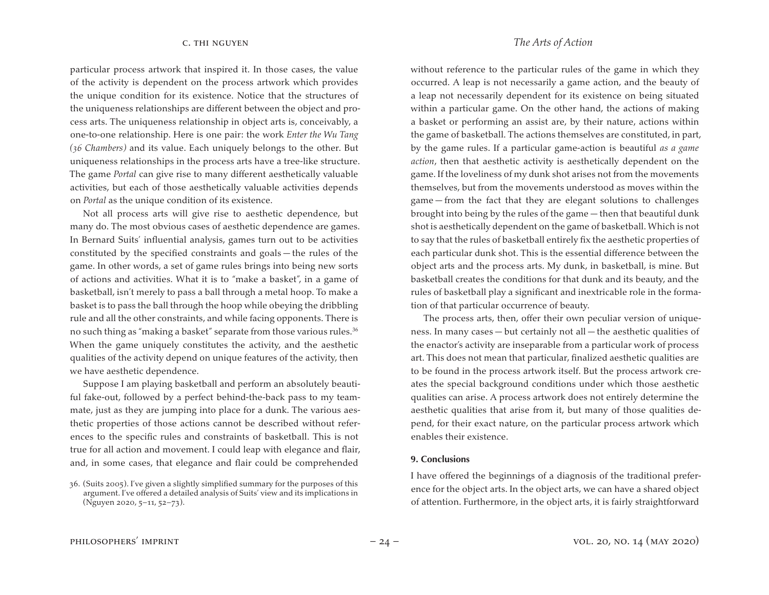particular process artwork that inspired it. In those cases, the value of the activity is dependent on the process artwork which provides the unique condition for its existence. Notice that the structures of the uniqueness relationships are different between the object and process arts. The uniqueness relationship in object arts is, conceivably, a one-to-one relationship. Here is one pair: the work *Enter the Wu Tang (36 Chambers)* and its value. Each uniquely belongs to the other. But uniqueness relationships in the process arts have a tree-like structure. The game *Portal* can give rise to many different aesthetically valuable activities, but each of those aesthetically valuable activities depends on *Portal* as the unique condition of its existence.

Not all process arts will give rise to aesthetic dependence, but many do. The most obvious cases of aesthetic dependence are games. In Bernard Suits' influential analysis, games turn out to be activities constituted by the specified constraints and goals — the rules of the game. In other words, a set of game rules brings into being new sorts of actions and activities. What it is to "make a basket", in a game of basketball, isn't merely to pass a ball through a metal hoop. To make a basket is to pass the ball through the hoop while obeying the dribbling rule and all the other constraints, and while facing opponents. There is no such thing as "making a basket" separate from those various rules.<sup>36</sup> When the game uniquely constitutes the activity, and the aesthetic qualities of the activity depend on unique features of the activity, then we have aesthetic dependence.

Suppose I am playing basketball and perform an absolutely beautiful fake-out, followed by a perfect behind-the-back pass to my teammate, just as they are jumping into place for a dunk. The various aesthetic properties of those actions cannot be described without references to the specific rules and constraints of basketball. This is not true for all action and movement. I could leap with elegance and flair, and, in some cases, that elegance and flair could be comprehended

without reference to the particular rules of the game in which they occurred. A leap is not necessarily a game action, and the beauty of a leap not necessarily dependent for its existence on being situated within a particular game. On the other hand, the actions of making a basket or performing an assist are, by their nature, actions within the game of basketball. The actions themselves are constituted, in part, by the game rules. If a particular game-action is beautiful *as a game action*, then that aesthetic activity is aesthetically dependent on the game. If the loveliness of my dunk shot arises not from the movements themselves, but from the movements understood as moves within the game — from the fact that they are elegant solutions to challenges brought into being by the rules of the game — then that beautiful dunk shot is aesthetically dependent on the game of basketball.Which is not to say that the rules of basketball entirely fix the aesthetic properties of each particular dunk shot. This is the essential difference between the object arts and the process arts. My dunk, in basketball, is mine. But basketball creates the conditions for that dunk and its beauty, and the rules of basketball play a significant and inextricable role in the formation of that particular occurrence of beauty.

The process arts, then, offer their own peculiar version of uniqueness. In many cases — but certainly not all — the aesthetic qualities of the enactor's activity are inseparable from a particular work of process art. This does not mean that particular, finalized aesthetic qualities are to be found in the process artwork itself. But the process artwork creates the special background conditions under which those aesthetic qualities can arise. A process artwork does not entirely determine the aesthetic qualities that arise from it, but many of those qualities depend, for their exact nature, on the particular process artwork which enables their existence.

### **9. Conclusions**

I have offered the beginnings of a diagnosis of the traditional preference for the object arts. In the object arts, we can have a shared object of attention. Furthermore, in the object arts, it is fairly straightforward

<sup>36. (</sup>Suits 2005). I've given a slightly simplified summary for the purposes of this argument. I've offered a detailed analysis of Suits' view and its implications in (Nguyen 2020, 5–11, 52–73).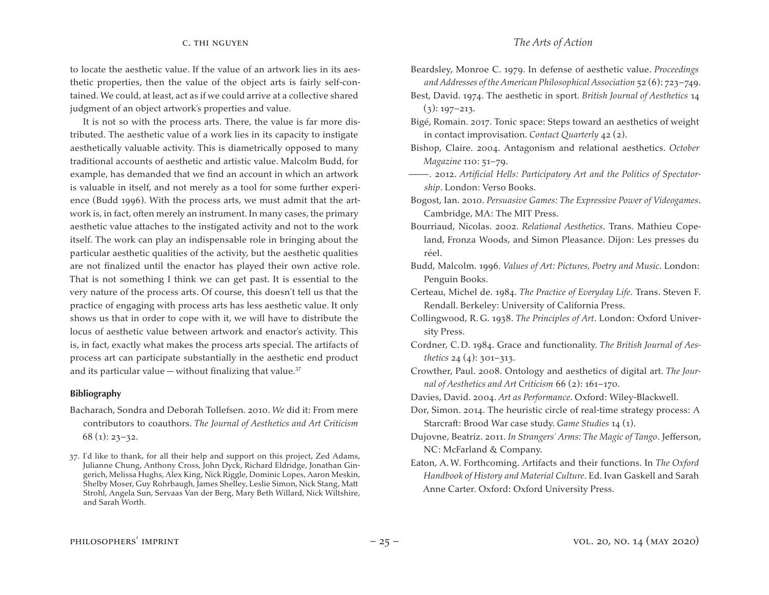to locate the aesthetic value. If the value of an artwork lies in its aesthetic properties, then the value of the object arts is fairly self-contained. We could, at least, act as if we could arrive at a collective shared judgment of an object artwork's properties and value.

It is not so with the process arts. There, the value is far more distributed. The aesthetic value of a work lies in its capacity to instigate aesthetically valuable activity. This is diametrically opposed to many traditional accounts of aesthetic and artistic value. Malcolm Budd, for example, has demanded that we find an account in which an artwork is valuable in itself, and not merely as a tool for some further experience (Budd 1996). With the process arts, we must admit that the artwork is, in fact, often merely an instrument. In many cases, the primary aesthetic value attaches to the instigated activity and not to the work itself. The work can play an indispensable role in bringing about the particular aesthetic qualities of the activity, but the aesthetic qualities are not finalized until the enactor has played their own active role. That is not something I think we can get past. It is essential to the very nature of the process arts. Of course, this doesn't tell us that the practice of engaging with process arts has less aesthetic value. It only shows us that in order to cope with it, we will have to distribute the locus of aesthetic value between artwork and enactor's activity. This is, in fact, exactly what makes the process arts special. The artifacts of process art can participate substantially in the aesthetic end product and its particular value — without finalizing that value. $37$ 

# **Bibliography**

Bacharach, Sondra and Deborah Tollefsen. 2010. *We* did it: From mere contributors to coauthors. *The Journal of Aesthetics and Art Criticism*  $68$  (1): 23–32.

- Best, David. 1974. The aesthetic in sport. *British Journal of Aesthetics* 14  $(3)$ : 197–213.
- Bigé, Romain. 2017. Tonic space: Steps toward an aesthetics of weight in contact improvisation. *Contact Quarterly* 42 (2).
- Bishop, Claire. 2004. Antagonism and relational aesthetics. *October Magazine* 110: 51–79.
- ———. 2012. *Artificial Hells: Participatory Art and the Politics of Spectatorship*. London: Verso Books.
- Bogost, Ian. 2010. *Persuasive Games: The Expressive Power of Videogames*. Cambridge, MA: The MIT Press.
- Bourriaud, Nicolas. 2002. *Relational Aesthetics*. Trans. Mathieu Copeland, Fronza Woods, and Simon Pleasance. Dijon: Les presses du réel.
- Budd, Malcolm. 1996. *Values of Art: Pictures, Poetry and Music*. London: Penguin Books.
- Certeau, Michel de. 1984. *The Practice of Everyday Life*. Trans. Steven F. Rendall. Berkeley: University of California Press.
- Collingwood, R.G. 1938. *The Principles of Art*. London: Oxford University Press.
- Cordner, C.D. 1984. Grace and functionality. *The British Journal of Aesthetics* 24 (4): 301–313.
- Crowther, Paul. 2008. Ontology and aesthetics of digital art. *The Journal of Aesthetics and Art Criticism* 66 (2): 161–170.
- Davies, David. 2004. *Art as Performance*. Oxford: Wiley-Blackwell.
- Dor, Simon. 2014. The heuristic circle of real-time strategy process: A Starcraft: Brood War case study. *Game Studies* 14 (1).
- Dujovne, Beatriz. 2011. *In Strangers' Arms: The Magic of Tango*. Jefferson, NC: McFarland & Company.
- Eaton, A.W. Forthcoming. Artifacts and their functions. In *The Oxford Handbook of History and Material Culture*. Ed. Ivan Gaskell and Sarah Anne Carter. Oxford: Oxford University Press.

<sup>37.</sup> I'd like to thank, for all their help and support on this project, Zed Adams, Julianne Chung, Anthony Cross, John Dyck, Richard Eldridge, Jonathan Gingerich, Melissa Hughs, Alex King, Nick Riggle, Dominic Lopes, Aaron Meskin, Shelby Moser, Guy Rohrbaugh, James Shelley, Leslie Simon, Nick Stang, Matt Strohl, Angela Sun, Servaas Van der Berg, Mary Beth Willard, Nick Wiltshire, and Sarah Worth.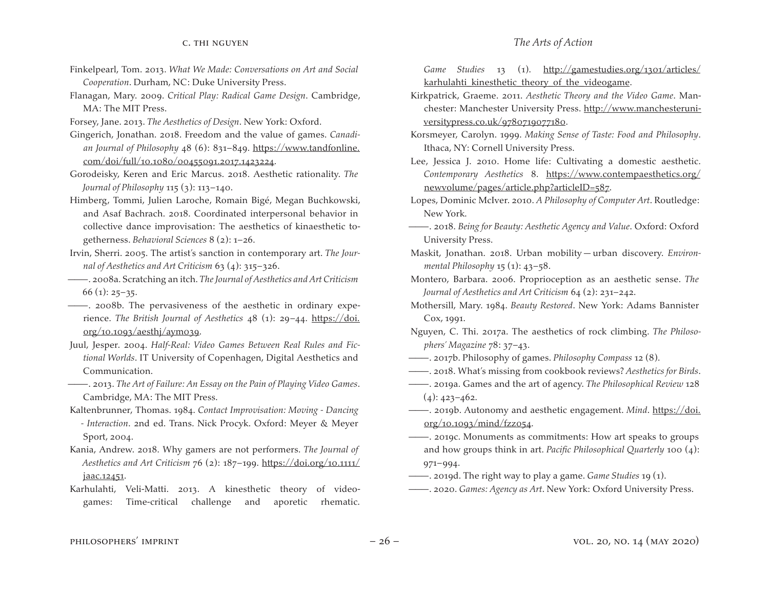- Finkelpearl, Tom. 2013. *What We Made: Conversations on Art and Social Cooperation*. Durham, NC: Duke University Press.
- Flanagan, Mary. 2009. *Critical Play: Radical Game Design*. Cambridge, MA: The MIT Press.
- Forsey, Jane. 2013. *The Aesthetics of Design*. New York: Oxford.
- Gingerich, Jonathan. 2018. Freedom and the value of games. *Canadian Journal of Philosophy* 48 (6): 831–849. https://www.tandfonline. com/doi/full/10.1080/00455091.2017.1423224.
- Gorodeisky, Keren and Eric Marcus. 2018. Aesthetic rationality. *The Journal of Philosophy* 115 (3): 113–140.
- Himberg, Tommi, Julien Laroche, Romain Bigé, Megan Buchkowski, and Asaf Bachrach. 2018. Coordinated interpersonal behavior in collective dance improvisation: The aesthetics of kinaesthetic togetherness. *Behavioral Sciences* 8 (2): 1–26.
- Irvin, Sherri. 2005. The artist's sanction in contemporary art. *The Journal of Aesthetics and Art Criticism* 63 (4): 315–326.
- ———. 2008a. Scratching an itch. *The Journal of Aesthetics and Art Criticism*  $66 (1)$ : 25–35.
- ———. 2008b. The pervasiveness of the aesthetic in ordinary experience. *The British Journal of Aesthetics* 48 (1): 29–44. https://doi.  $org/10.1093/aesthj/aym039.$
- Juul, Jesper. 2004. *Half-Real: Video Games Between Real Rules and Fictional Worlds*. IT University of Copenhagen, Digital Aesthetics and Communication.
- ———. 2013. *The Art of Failure: An Essay on the Pain of Playing Video Games*. Cambridge, MA: The MIT Press.
- Kaltenbrunner, Thomas. 1984. *Contact Improvisation: Moving Dancing - Interaction*. 2nd ed. Trans. Nick Procyk. Oxford: Meyer & Meyer Sport, 2004.
- Kania, Andrew. 2018. Why gamers are not performers. *The Journal of Aesthetics and Art Criticism* 76 (2): 187–199. https://doi.org/10.1111/ jaac.12451.
- Karhulahti, Veli-Matti. 2013. A kinesthetic theory of videogames: Time-critical challenge and aporetic rhematic.

*Game Studies* 13 (1). http://gamestudies.org/1301/articles/ karhulahti kinesthetic theory of the videogame.

- Kirkpatrick, Graeme. 2011. *Aesthetic Theory and the Video Game*. Manchester: Manchester University Press. http://www.manchesteruniversitypress.co.uk/9780719077180.
- Korsmeyer, Carolyn. 1999. *Making Sense of Taste: Food and Philosophy*. Ithaca, NY: Cornell University Press.
- Lee, Jessica J. 2010. Home life: Cultivating a domestic aesthetic. *Contemporary Aesthetics* 8. https://www.contempaesthetics.org/ newvolume/pages/article.php?articleID=587.
- Lopes, Dominic McIver. 2010. *A Philosophy of Computer Art*. Routledge: New York.
- ———. 2018. *Being for Beauty: Aesthetic Agency and Value*. Oxford: Oxford University Press.
- Maskit, Jonathan. 2018. Urban mobility urban discovery. *Environmental Philosophy* 15 (1): 43–58.
- Montero, Barbara. 2006. Proprioception as an aesthetic sense. *The Journal of Aesthetics and Art Criticism* 64 (2): 231–242.
- Mothersill, Mary. 1984. *Beauty Restored*. New York: Adams Bannister Cox, 1991.
- Nguyen, C. Thi. 2017a. The aesthetics of rock climbing. *The Philosophers' Magazine* 78: 37–43.
- ———. 2017b. Philosophy of games. *Philosophy Compass* 12 (8).
- ———. 2018. What's missing from cookbook reviews? *Aesthetics for Birds*.
- ———. 2019a. Games and the art of agency. *The Philosophical Review* 128  $(4): 423 - 462.$
- ———. 2019b. Autonomy and aesthetic engagement. *Mind*. https://doi. org/10.1093/mind/fzz054.
- ———. 2019c. Monuments as commitments: How art speaks to groups and how groups think in art. *Pacific Philosophical Quarterly* 100 (4): 971–994.
- ———. 2019d. The right way to play a game. *Game Studies* 19 (1).
- ———. 2020. *Games: Agency as Art*. New York: Oxford University Press.